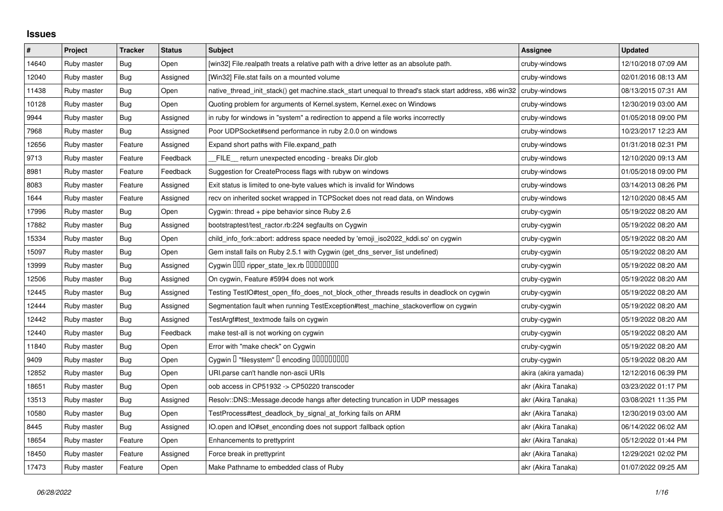## **Issues**

| $\pmb{\#}$ | Project     | <b>Tracker</b> | <b>Status</b> | <b>Subject</b>                                                                                        | Assignee             | <b>Updated</b>      |
|------------|-------------|----------------|---------------|-------------------------------------------------------------------------------------------------------|----------------------|---------------------|
| 14640      | Ruby master | Bug            | Open          | [win32] File.realpath treats a relative path with a drive letter as an absolute path.                 | cruby-windows        | 12/10/2018 07:09 AM |
| 12040      | Ruby master | Bug            | Assigned      | [Win32] File.stat fails on a mounted volume                                                           | cruby-windows        | 02/01/2016 08:13 AM |
| 11438      | Ruby master | <b>Bug</b>     | Open          | native_thread_init_stack() get machine.stack_start unequal to thread's stack start address, x86 win32 | cruby-windows        | 08/13/2015 07:31 AM |
| 10128      | Ruby master | <b>Bug</b>     | Open          | Quoting problem for arguments of Kernel.system, Kernel.exec on Windows                                | cruby-windows        | 12/30/2019 03:00 AM |
| 9944       | Ruby master | <b>Bug</b>     | Assigned      | in ruby for windows in "system" a redirection to append a file works incorrectly                      | cruby-windows        | 01/05/2018 09:00 PM |
| 7968       | Ruby master | Bug            | Assigned      | Poor UDPSocket#send performance in ruby 2.0.0 on windows                                              | cruby-windows        | 10/23/2017 12:23 AM |
| 12656      | Ruby master | Feature        | Assigned      | Expand short paths with File.expand_path                                                              | cruby-windows        | 01/31/2018 02:31 PM |
| 9713       | Ruby master | Feature        | Feedback      | FILE_ return unexpected encoding - breaks Dir.glob                                                    | cruby-windows        | 12/10/2020 09:13 AM |
| 8981       | Ruby master | Feature        | Feedback      | Suggestion for CreateProcess flags with rubyw on windows                                              | cruby-windows        | 01/05/2018 09:00 PM |
| 8083       | Ruby master | Feature        | Assigned      | Exit status is limited to one-byte values which is invalid for Windows                                | cruby-windows        | 03/14/2013 08:26 PM |
| 1644       | Ruby master | Feature        | Assigned      | recv on inherited socket wrapped in TCPSocket does not read data, on Windows                          | cruby-windows        | 12/10/2020 08:45 AM |
| 17996      | Ruby master | <b>Bug</b>     | Open          | Cygwin: thread $+$ pipe behavior since Ruby 2.6                                                       | cruby-cygwin         | 05/19/2022 08:20 AM |
| 17882      | Ruby master | <b>Bug</b>     | Assigned      | bootstraptest/test_ractor.rb:224 segfaults on Cygwin                                                  | cruby-cygwin         | 05/19/2022 08:20 AM |
| 15334      | Ruby master | Bug            | Open          | child_info_fork::abort: address space needed by 'emoji_iso2022_kddi.so' on cygwin                     | cruby-cygwin         | 05/19/2022 08:20 AM |
| 15097      | Ruby master | <b>Bug</b>     | Open          | Gem install fails on Ruby 2.5.1 with Cygwin (get_dns_server_list undefined)                           | cruby-cygwin         | 05/19/2022 08:20 AM |
| 13999      | Ruby master | <b>Bug</b>     | Assigned      | Cygwin ODD ripper_state_lex.rb 00000000                                                               | cruby-cygwin         | 05/19/2022 08:20 AM |
| 12506      | Ruby master | Bug            | Assigned      | On cygwin, Feature #5994 does not work                                                                | cruby-cygwin         | 05/19/2022 08:20 AM |
| 12445      | Ruby master | <b>Bug</b>     | Assigned      | Testing TestIO#test_open_fifo_does_not_block_other_threads results in deadlock on cygwin              | cruby-cygwin         | 05/19/2022 08:20 AM |
| 12444      | Ruby master | Bug            | Assigned      | Segmentation fault when running TestException#test_machine_stackoverflow on cygwin                    | cruby-cygwin         | 05/19/2022 08:20 AM |
| 12442      | Ruby master | <b>Bug</b>     | Assigned      | TestArgf#test_textmode fails on cygwin                                                                | cruby-cygwin         | 05/19/2022 08:20 AM |
| 12440      | Ruby master | <b>Bug</b>     | Feedback      | make test-all is not working on cygwin                                                                | cruby-cygwin         | 05/19/2022 08:20 AM |
| 11840      | Ruby master | Bug            | Open          | Error with "make check" on Cygwin                                                                     | cruby-cygwin         | 05/19/2022 08:20 AM |
| 9409       | Ruby master | <b>Bug</b>     | Open          | Cygwin I "filesystem" I encoding IIIIIIIIIIIII                                                        | cruby-cygwin         | 05/19/2022 08:20 AM |
| 12852      | Ruby master | <b>Bug</b>     | Open          | URI.parse can't handle non-ascii URIs                                                                 | akira (akira yamada) | 12/12/2016 06:39 PM |
| 18651      | Ruby master | Bug            | Open          | oob access in CP51932 -> CP50220 transcoder                                                           | akr (Akira Tanaka)   | 03/23/2022 01:17 PM |
| 13513      | Ruby master | <b>Bug</b>     | Assigned      | Resolv::DNS::Message.decode hangs after detecting truncation in UDP messages                          | akr (Akira Tanaka)   | 03/08/2021 11:35 PM |
| 10580      | Ruby master | <b>Bug</b>     | Open          | TestProcess#test_deadlock_by_signal_at_forking fails on ARM                                           | akr (Akira Tanaka)   | 12/30/2019 03:00 AM |
| 8445       | Ruby master | Bug            | Assigned      | IO.open and IO#set_enconding does not support :fallback option                                        | akr (Akira Tanaka)   | 06/14/2022 06:02 AM |
| 18654      | Ruby master | Feature        | Open          | Enhancements to prettyprint                                                                           | akr (Akira Tanaka)   | 05/12/2022 01:44 PM |
| 18450      | Ruby master | Feature        | Assigned      | Force break in prettyprint                                                                            | akr (Akira Tanaka)   | 12/29/2021 02:02 PM |
| 17473      | Ruby master | Feature        | Open          | Make Pathname to embedded class of Ruby                                                               | akr (Akira Tanaka)   | 01/07/2022 09:25 AM |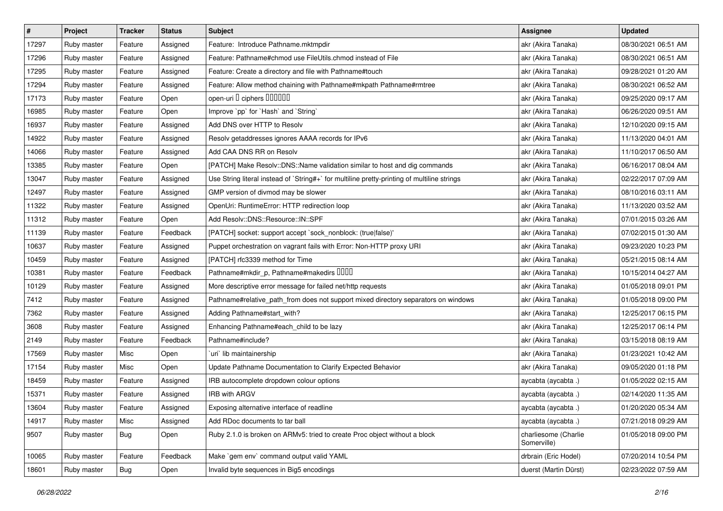| #     | Project     | <b>Tracker</b> | <b>Status</b> | <b>Subject</b>                                                                              | <b>Assignee</b>                     | <b>Updated</b>      |
|-------|-------------|----------------|---------------|---------------------------------------------------------------------------------------------|-------------------------------------|---------------------|
| 17297 | Ruby master | Feature        | Assigned      | Feature: Introduce Pathname.mktmpdir                                                        | akr (Akira Tanaka)                  | 08/30/2021 06:51 AM |
| 17296 | Ruby master | Feature        | Assigned      | Feature: Pathname#chmod use FileUtils.chmod instead of File                                 | akr (Akira Tanaka)                  | 08/30/2021 06:51 AM |
| 17295 | Ruby master | Feature        | Assigned      | Feature: Create a directory and file with Pathname#touch                                    | akr (Akira Tanaka)                  | 09/28/2021 01:20 AM |
| 17294 | Ruby master | Feature        | Assigned      | Feature: Allow method chaining with Pathname#mkpath Pathname#rmtree                         | akr (Akira Tanaka)                  | 08/30/2021 06:52 AM |
| 17173 | Ruby master | Feature        | Open          | open-uri I ciphers IIIIIII                                                                  | akr (Akira Tanaka)                  | 09/25/2020 09:17 AM |
| 16985 | Ruby master | Feature        | Open          | Improve `pp` for `Hash` and `String`                                                        | akr (Akira Tanaka)                  | 06/26/2020 09:51 AM |
| 16937 | Ruby master | Feature        | Assigned      | Add DNS over HTTP to Resolv                                                                 | akr (Akira Tanaka)                  | 12/10/2020 09:15 AM |
| 14922 | Ruby master | Feature        | Assigned      | Resolv getaddresses ignores AAAA records for IPv6                                           | akr (Akira Tanaka)                  | 11/13/2020 04:01 AM |
| 14066 | Ruby master | Feature        | Assigned      | Add CAA DNS RR on Resolv                                                                    | akr (Akira Tanaka)                  | 11/10/2017 06:50 AM |
| 13385 | Ruby master | Feature        | Open          | [PATCH] Make Resolv::DNS::Name validation similar to host and dig commands                  | akr (Akira Tanaka)                  | 06/16/2017 08:04 AM |
| 13047 | Ruby master | Feature        | Assigned      | Use String literal instead of `String#+` for multiline pretty-printing of multiline strings | akr (Akira Tanaka)                  | 02/22/2017 07:09 AM |
| 12497 | Ruby master | Feature        | Assigned      | GMP version of divmod may be slower                                                         | akr (Akira Tanaka)                  | 08/10/2016 03:11 AM |
| 11322 | Ruby master | Feature        | Assigned      | OpenUri: RuntimeError: HTTP redirection loop                                                | akr (Akira Tanaka)                  | 11/13/2020 03:52 AM |
| 11312 | Ruby master | Feature        | Open          | Add Resolv::DNS::Resource::IN::SPF                                                          | akr (Akira Tanaka)                  | 07/01/2015 03:26 AM |
| 11139 | Ruby master | Feature        | Feedback      | [PATCH] socket: support accept `sock_nonblock: (true false)'                                | akr (Akira Tanaka)                  | 07/02/2015 01:30 AM |
| 10637 | Ruby master | Feature        | Assigned      | Puppet orchestration on vagrant fails with Error: Non-HTTP proxy URI                        | akr (Akira Tanaka)                  | 09/23/2020 10:23 PM |
| 10459 | Ruby master | Feature        | Assigned      | [PATCH] rfc3339 method for Time                                                             | akr (Akira Tanaka)                  | 05/21/2015 08:14 AM |
| 10381 | Ruby master | Feature        | Feedback      | Pathname#mkdir_p, Pathname#makedirs DDDD                                                    | akr (Akira Tanaka)                  | 10/15/2014 04:27 AM |
| 10129 | Ruby master | Feature        | Assigned      | More descriptive error message for failed net/http requests                                 | akr (Akira Tanaka)                  | 01/05/2018 09:01 PM |
| 7412  | Ruby master | Feature        | Assigned      | Pathname#relative_path_from does not support mixed directory separators on windows          | akr (Akira Tanaka)                  | 01/05/2018 09:00 PM |
| 7362  | Ruby master | Feature        | Assigned      | Adding Pathname#start_with?                                                                 | akr (Akira Tanaka)                  | 12/25/2017 06:15 PM |
| 3608  | Ruby master | Feature        | Assigned      | Enhancing Pathname#each_child to be lazy                                                    | akr (Akira Tanaka)                  | 12/25/2017 06:14 PM |
| 2149  | Ruby master | Feature        | Feedback      | Pathname#include?                                                                           | akr (Akira Tanaka)                  | 03/15/2018 08:19 AM |
| 17569 | Ruby master | Misc           | Open          | uri lib maintainership                                                                      | akr (Akira Tanaka)                  | 01/23/2021 10:42 AM |
| 17154 | Ruby master | Misc           | Open          | Update Pathname Documentation to Clarify Expected Behavior                                  | akr (Akira Tanaka)                  | 09/05/2020 01:18 PM |
| 18459 | Ruby master | Feature        | Assigned      | IRB autocomplete dropdown colour options                                                    | aycabta (aycabta.)                  | 01/05/2022 02:15 AM |
| 15371 | Ruby master | Feature        | Assigned      | <b>IRB with ARGV</b>                                                                        | aycabta (aycabta .)                 | 02/14/2020 11:35 AM |
| 13604 | Ruby master | Feature        | Assigned      | Exposing alternative interface of readline                                                  | aycabta (aycabta.)                  | 01/20/2020 05:34 AM |
| 14917 | Ruby master | Misc           | Assigned      | Add RDoc documents to tar ball                                                              | aycabta (aycabta .)                 | 07/21/2018 09:29 AM |
| 9507  | Ruby master | Bug            | Open          | Ruby 2.1.0 is broken on ARMv5: tried to create Proc object without a block                  | charliesome (Charlie<br>Somerville) | 01/05/2018 09:00 PM |
| 10065 | Ruby master | Feature        | Feedback      | Make `gem env` command output valid YAML                                                    | drbrain (Eric Hodel)                | 07/20/2014 10:54 PM |
| 18601 | Ruby master | <b>Bug</b>     | Open          | Invalid byte sequences in Big5 encodings                                                    | duerst (Martin Dürst)               | 02/23/2022 07:59 AM |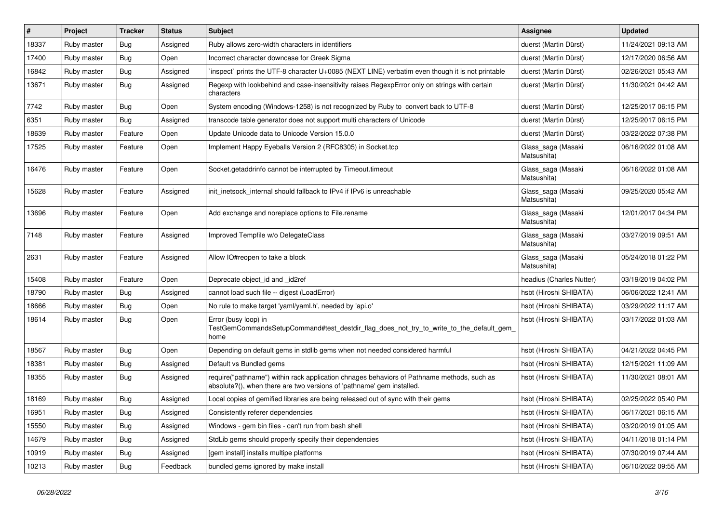| #     | Project     | <b>Tracker</b> | <b>Status</b> | <b>Subject</b>                                                                                                                                                      | <b>Assignee</b>                   | <b>Updated</b>      |
|-------|-------------|----------------|---------------|---------------------------------------------------------------------------------------------------------------------------------------------------------------------|-----------------------------------|---------------------|
| 18337 | Ruby master | Bug            | Assigned      | Ruby allows zero-width characters in identifiers                                                                                                                    | duerst (Martin Dürst)             | 11/24/2021 09:13 AM |
| 17400 | Ruby master | <b>Bug</b>     | Open          | Incorrect character downcase for Greek Sigma                                                                                                                        | duerst (Martin Dürst)             | 12/17/2020 06:56 AM |
| 16842 | Ruby master | <b>Bug</b>     | Assigned      | inspect` prints the UTF-8 character U+0085 (NEXT LINE) verbatim even though it is not printable                                                                     | duerst (Martin Dürst)             | 02/26/2021 05:43 AM |
| 13671 | Ruby master | <b>Bug</b>     | Assigned      | Regexp with lookbehind and case-insensitivity raises RegexpError only on strings with certain<br>characters                                                         | duerst (Martin Dürst)             | 11/30/2021 04:42 AM |
| 7742  | Ruby master | Bug            | Open          | System encoding (Windows-1258) is not recognized by Ruby to convert back to UTF-8                                                                                   | duerst (Martin Dürst)             | 12/25/2017 06:15 PM |
| 6351  | Ruby master | Bug            | Assigned      | transcode table generator does not support multi characters of Unicode                                                                                              | duerst (Martin Dürst)             | 12/25/2017 06:15 PM |
| 18639 | Ruby master | Feature        | Open          | Update Unicode data to Unicode Version 15.0.0                                                                                                                       | duerst (Martin Dürst)             | 03/22/2022 07:38 PM |
| 17525 | Ruby master | Feature        | Open          | Implement Happy Eyeballs Version 2 (RFC8305) in Socket.tcp                                                                                                          | Glass saga (Masaki<br>Matsushita) | 06/16/2022 01:08 AM |
| 16476 | Ruby master | Feature        | Open          | Socket getaddrinfo cannot be interrupted by Timeout timeout                                                                                                         | Glass saga (Masaki<br>Matsushita) | 06/16/2022 01:08 AM |
| 15628 | Ruby master | Feature        | Assigned      | init inetsock internal should fallback to IPv4 if IPv6 is unreachable                                                                                               | Glass_saga (Masaki<br>Matsushita) | 09/25/2020 05:42 AM |
| 13696 | Ruby master | Feature        | Open          | Add exchange and noreplace options to File.rename                                                                                                                   | Glass_saga (Masaki<br>Matsushita) | 12/01/2017 04:34 PM |
| 7148  | Ruby master | Feature        | Assigned      | Improved Tempfile w/o DelegateClass                                                                                                                                 | Glass saga (Masaki<br>Matsushita) | 03/27/2019 09:51 AM |
| 2631  | Ruby master | Feature        | Assigned      | Allow IO#reopen to take a block                                                                                                                                     | Glass_saga (Masaki<br>Matsushita) | 05/24/2018 01:22 PM |
| 15408 | Ruby master | Feature        | Open          | Deprecate object_id and _id2ref                                                                                                                                     | headius (Charles Nutter)          | 03/19/2019 04:02 PM |
| 18790 | Ruby master | <b>Bug</b>     | Assigned      | cannot load such file -- digest (LoadError)                                                                                                                         | hsbt (Hiroshi SHIBATA)            | 06/06/2022 12:41 AM |
| 18666 | Ruby master | <b>Bug</b>     | Open          | No rule to make target 'yaml/yaml.h', needed by 'api.o'                                                                                                             | hsbt (Hiroshi SHIBATA)            | 03/29/2022 11:17 AM |
| 18614 | Ruby master | <b>Bug</b>     | Open          | Error (busy loop) in<br>TestGemCommandsSetupCommand#test destdir flag does not try to write to the default gem<br>home                                              | hsbt (Hiroshi SHIBATA)            | 03/17/2022 01:03 AM |
| 18567 | Ruby master | <b>Bug</b>     | Open          | Depending on default gems in stdlib gems when not needed considered harmful                                                                                         | hsbt (Hiroshi SHIBATA)            | 04/21/2022 04:45 PM |
| 18381 | Ruby master | Bug            | Assigned      | Default vs Bundled gems                                                                                                                                             | hsbt (Hiroshi SHIBATA)            | 12/15/2021 11:09 AM |
| 18355 | Ruby master | <b>Bug</b>     | Assigned      | require("pathname") within rack application chnages behaviors of Pathname methods, such as<br>absolute?(), when there are two versions of 'pathname' gem installed. | hsbt (Hiroshi SHIBATA)            | 11/30/2021 08:01 AM |
| 18169 | Ruby master | <b>Bug</b>     | Assigned      | Local copies of gemified libraries are being released out of sync with their gems                                                                                   | hsbt (Hiroshi SHIBATA)            | 02/25/2022 05:40 PM |
| 16951 | Ruby master | Bug            | Assigned      | Consistently referer dependencies                                                                                                                                   | hsbt (Hiroshi SHIBATA)            | 06/17/2021 06:15 AM |
| 15550 | Ruby master | <b>Bug</b>     | Assigned      | Windows - gem bin files - can't run from bash shell                                                                                                                 | hsbt (Hiroshi SHIBATA)            | 03/20/2019 01:05 AM |
| 14679 | Ruby master | <b>Bug</b>     | Assigned      | StdLib gems should properly specify their dependencies                                                                                                              | hsbt (Hiroshi SHIBATA)            | 04/11/2018 01:14 PM |
| 10919 | Ruby master | Bug            | Assigned      | [gem install] installs multipe platforms                                                                                                                            | hsbt (Hiroshi SHIBATA)            | 07/30/2019 07:44 AM |
| 10213 | Ruby master | <b>Bug</b>     | Feedback      | bundled gems ignored by make install                                                                                                                                | hsbt (Hiroshi SHIBATA)            | 06/10/2022 09:55 AM |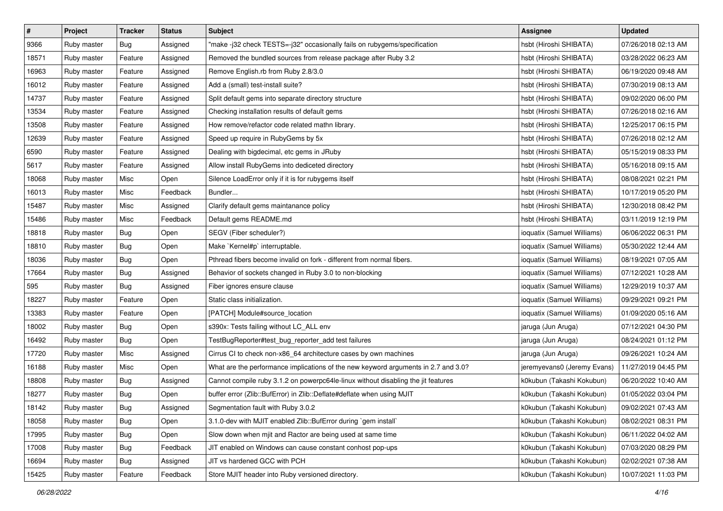| $\pmb{\#}$ | Project     | <b>Tracker</b> | <b>Status</b> | Subject                                                                            | Assignee                    | <b>Updated</b>      |
|------------|-------------|----------------|---------------|------------------------------------------------------------------------------------|-----------------------------|---------------------|
| 9366       | Ruby master | Bug            | Assigned      | "make -j32 check TESTS=-j32" occasionally fails on rubygems/specification          | hsbt (Hiroshi SHIBATA)      | 07/26/2018 02:13 AM |
| 18571      | Ruby master | Feature        | Assigned      | Removed the bundled sources from release package after Ruby 3.2                    | hsbt (Hiroshi SHIBATA)      | 03/28/2022 06:23 AM |
| 16963      | Ruby master | Feature        | Assigned      | Remove English.rb from Ruby 2.8/3.0                                                | hsbt (Hiroshi SHIBATA)      | 06/19/2020 09:48 AM |
| 16012      | Ruby master | Feature        | Assigned      | Add a (small) test-install suite?                                                  | hsbt (Hiroshi SHIBATA)      | 07/30/2019 08:13 AM |
| 14737      | Ruby master | Feature        | Assigned      | Split default gems into separate directory structure                               | hsbt (Hiroshi SHIBATA)      | 09/02/2020 06:00 PM |
| 13534      | Ruby master | Feature        | Assigned      | Checking installation results of default gems                                      | hsbt (Hiroshi SHIBATA)      | 07/26/2018 02:16 AM |
| 13508      | Ruby master | Feature        | Assigned      | How remove/refactor code related mathn library.                                    | hsbt (Hiroshi SHIBATA)      | 12/25/2017 06:15 PM |
| 12639      | Ruby master | Feature        | Assigned      | Speed up require in RubyGems by 5x                                                 | hsbt (Hiroshi SHIBATA)      | 07/26/2018 02:12 AM |
| 6590       | Ruby master | Feature        | Assigned      | Dealing with bigdecimal, etc gems in JRuby                                         | hsbt (Hiroshi SHIBATA)      | 05/15/2019 08:33 PM |
| 5617       | Ruby master | Feature        | Assigned      | Allow install RubyGems into dediceted directory                                    | hsbt (Hiroshi SHIBATA)      | 05/16/2018 09:15 AM |
| 18068      | Ruby master | Misc           | Open          | Silence LoadError only if it is for rubygems itself                                | hsbt (Hiroshi SHIBATA)      | 08/08/2021 02:21 PM |
| 16013      | Ruby master | Misc           | Feedback      | Bundler                                                                            | hsbt (Hiroshi SHIBATA)      | 10/17/2019 05:20 PM |
| 15487      | Ruby master | Misc           | Assigned      | Clarify default gems maintanance policy                                            | hsbt (Hiroshi SHIBATA)      | 12/30/2018 08:42 PM |
| 15486      | Ruby master | Misc           | Feedback      | Default gems README.md                                                             | hsbt (Hiroshi SHIBATA)      | 03/11/2019 12:19 PM |
| 18818      | Ruby master | Bug            | Open          | SEGV (Fiber scheduler?)                                                            | ioquatix (Samuel Williams)  | 06/06/2022 06:31 PM |
| 18810      | Ruby master | Bug            | Open          | Make `Kernel#p` interruptable.                                                     | ioquatix (Samuel Williams)  | 05/30/2022 12:44 AM |
| 18036      | Ruby master | Bug            | Open          | Pthread fibers become invalid on fork - different from normal fibers.              | ioquatix (Samuel Williams)  | 08/19/2021 07:05 AM |
| 17664      | Ruby master | Bug            | Assigned      | Behavior of sockets changed in Ruby 3.0 to non-blocking                            | ioquatix (Samuel Williams)  | 07/12/2021 10:28 AM |
| 595        | Ruby master | <b>Bug</b>     | Assigned      | Fiber ignores ensure clause                                                        | ioquatix (Samuel Williams)  | 12/29/2019 10:37 AM |
| 18227      | Ruby master | Feature        | Open          | Static class initialization.                                                       | ioquatix (Samuel Williams)  | 09/29/2021 09:21 PM |
| 13383      | Ruby master | Feature        | Open          | [PATCH] Module#source_location                                                     | ioquatix (Samuel Williams)  | 01/09/2020 05:16 AM |
| 18002      | Ruby master | Bug            | Open          | s390x: Tests failing without LC_ALL env                                            | jaruga (Jun Aruga)          | 07/12/2021 04:30 PM |
| 16492      | Ruby master | Bug            | Open          | TestBugReporter#test_bug_reporter_add test failures                                | jaruga (Jun Aruga)          | 08/24/2021 01:12 PM |
| 17720      | Ruby master | Misc           | Assigned      | Cirrus CI to check non-x86_64 architecture cases by own machines                   | jaruga (Jun Aruga)          | 09/26/2021 10:24 AM |
| 16188      | Ruby master | Misc           | Open          | What are the performance implications of the new keyword arguments in 2.7 and 3.0? | jeremyevans0 (Jeremy Evans) | 11/27/2019 04:45 PM |
| 18808      | Ruby master | Bug            | Assigned      | Cannot compile ruby 3.1.2 on powerpc64le-linux without disabling the jit features  | k0kubun (Takashi Kokubun)   | 06/20/2022 10:40 AM |
| 18277      | Ruby master | Bug            | Open          | buffer error (Zlib::BufError) in Zlib::Deflate#deflate when using MJIT             | k0kubun (Takashi Kokubun)   | 01/05/2022 03:04 PM |
| 18142      | Ruby master | Bug            | Assigned      | Segmentation fault with Ruby 3.0.2                                                 | k0kubun (Takashi Kokubun)   | 09/02/2021 07:43 AM |
| 18058      | Ruby master | <b>Bug</b>     | Open          | 3.1.0-dev with MJIT enabled Zlib::BufError during `gem install`                    | k0kubun (Takashi Kokubun)   | 08/02/2021 08:31 PM |
| 17995      | Ruby master | Bug            | Open          | Slow down when mjit and Ractor are being used at same time                         | k0kubun (Takashi Kokubun)   | 06/11/2022 04:02 AM |
| 17008      | Ruby master | <b>Bug</b>     | Feedback      | JIT enabled on Windows can cause constant conhost pop-ups                          | k0kubun (Takashi Kokubun)   | 07/03/2020 08:29 PM |
| 16694      | Ruby master | <b>Bug</b>     | Assigned      | JIT vs hardened GCC with PCH                                                       | k0kubun (Takashi Kokubun)   | 02/02/2021 07:38 AM |
| 15425      | Ruby master | Feature        | Feedback      | Store MJIT header into Ruby versioned directory.                                   | k0kubun (Takashi Kokubun)   | 10/07/2021 11:03 PM |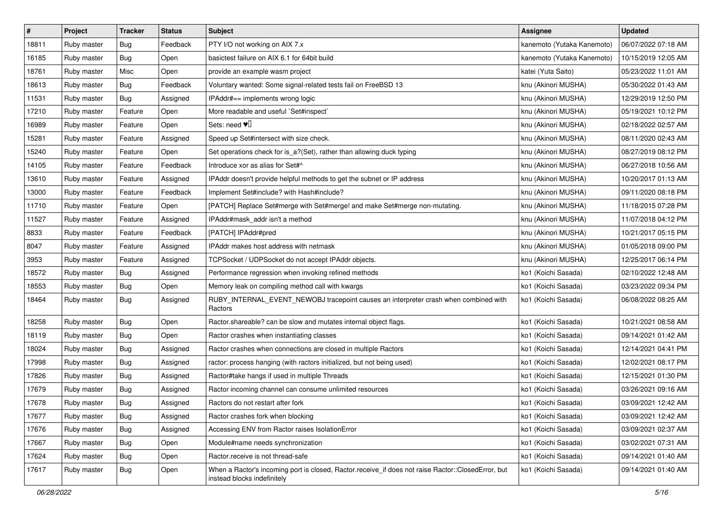| $\sharp$ | Project     | <b>Tracker</b> | <b>Status</b> | Subject                                                                                                                           | <b>Assignee</b>            | <b>Updated</b>      |
|----------|-------------|----------------|---------------|-----------------------------------------------------------------------------------------------------------------------------------|----------------------------|---------------------|
| 18811    | Ruby master | <b>Bug</b>     | Feedback      | PTY I/O not working on AIX 7.x                                                                                                    | kanemoto (Yutaka Kanemoto) | 06/07/2022 07:18 AM |
| 16185    | Ruby master | <b>Bug</b>     | Open          | basictest failure on AIX 6.1 for 64bit build                                                                                      | kanemoto (Yutaka Kanemoto) | 10/15/2019 12:05 AM |
| 18761    | Ruby master | Misc           | Open          | provide an example wasm project                                                                                                   | katei (Yuta Saito)         | 05/23/2022 11:01 AM |
| 18613    | Ruby master | <b>Bug</b>     | Feedback      | Voluntary wanted: Some signal-related tests fail on FreeBSD 13                                                                    | knu (Akinori MUSHA)        | 05/30/2022 01:43 AM |
| 11531    | Ruby master | Bug            | Assigned      | IPAddr#== implements wrong logic                                                                                                  | knu (Akinori MUSHA)        | 12/29/2019 12:50 PM |
| 17210    | Ruby master | Feature        | Open          | More readable and useful `Set#inspect`                                                                                            | knu (Akinori MUSHA)        | 05/19/2021 10:12 PM |
| 16989    | Ruby master | Feature        | Open          | Sets: need $\Psi$                                                                                                                 | knu (Akinori MUSHA)        | 02/18/2022 02:57 AM |
| 15281    | Ruby master | Feature        | Assigned      | Speed up Set#intersect with size check.                                                                                           | knu (Akinori MUSHA)        | 08/11/2020 02:43 AM |
| 15240    | Ruby master | Feature        | Open          | Set operations check for is_a?(Set), rather than allowing duck typing                                                             | knu (Akinori MUSHA)        | 08/27/2019 08:12 PM |
| 14105    | Ruby master | Feature        | Feedback      | Introduce xor as alias for Set#^                                                                                                  | knu (Akinori MUSHA)        | 06/27/2018 10:56 AM |
| 13610    | Ruby master | Feature        | Assigned      | IPAddr doesn't provide helpful methods to get the subnet or IP address                                                            | knu (Akinori MUSHA)        | 10/20/2017 01:13 AM |
| 13000    | Ruby master | Feature        | Feedback      | Implement Set#include? with Hash#include?                                                                                         | knu (Akinori MUSHA)        | 09/11/2020 08:18 PM |
| 11710    | Ruby master | Feature        | Open          | [PATCH] Replace Set#merge with Set#merge! and make Set#merge non-mutating.                                                        | knu (Akinori MUSHA)        | 11/18/2015 07:28 PM |
| 11527    | Ruby master | Feature        | Assigned      | IPAddr#mask_addr isn't a method                                                                                                   | knu (Akinori MUSHA)        | 11/07/2018 04:12 PM |
| 8833     | Ruby master | Feature        | Feedback      | [PATCH] IPAddr#pred                                                                                                               | knu (Akinori MUSHA)        | 10/21/2017 05:15 PM |
| 8047     | Ruby master | Feature        | Assigned      | IPAddr makes host address with netmask                                                                                            | knu (Akinori MUSHA)        | 01/05/2018 09:00 PM |
| 3953     | Ruby master | Feature        | Assigned      | TCPSocket / UDPSocket do not accept IPAddr objects.                                                                               | knu (Akinori MUSHA)        | 12/25/2017 06:14 PM |
| 18572    | Ruby master | <b>Bug</b>     | Assigned      | Performance regression when invoking refined methods                                                                              | ko1 (Koichi Sasada)        | 02/10/2022 12:48 AM |
| 18553    | Ruby master | <b>Bug</b>     | Open          | Memory leak on compiling method call with kwargs                                                                                  | ko1 (Koichi Sasada)        | 03/23/2022 09:34 PM |
| 18464    | Ruby master | <b>Bug</b>     | Assigned      | RUBY_INTERNAL_EVENT_NEWOBJ tracepoint causes an interpreter crash when combined with<br>Ractors                                   | ko1 (Koichi Sasada)        | 06/08/2022 08:25 AM |
| 18258    | Ruby master | Bug            | Open          | Ractor.shareable? can be slow and mutates internal object flags.                                                                  | ko1 (Koichi Sasada)        | 10/21/2021 08:58 AM |
| 18119    | Ruby master | <b>Bug</b>     | Open          | Ractor crashes when instantiating classes                                                                                         | ko1 (Koichi Sasada)        | 09/14/2021 01:42 AM |
| 18024    | Ruby master | <b>Bug</b>     | Assigned      | Ractor crashes when connections are closed in multiple Ractors                                                                    | ko1 (Koichi Sasada)        | 12/14/2021 04:41 PM |
| 17998    | Ruby master | <b>Bug</b>     | Assigned      | ractor: process hanging (with ractors initialized, but not being used)                                                            | ko1 (Koichi Sasada)        | 12/02/2021 08:17 PM |
| 17826    | Ruby master | <b>Bug</b>     | Assigned      | Ractor#take hangs if used in multiple Threads                                                                                     | ko1 (Koichi Sasada)        | 12/15/2021 01:30 PM |
| 17679    | Ruby master | <b>Bug</b>     | Assigned      | Ractor incoming channel can consume unlimited resources                                                                           | ko1 (Koichi Sasada)        | 03/26/2021 09:16 AM |
| 17678    | Ruby master | <b>Bug</b>     | Assigned      | Ractors do not restart after fork                                                                                                 | ko1 (Koichi Sasada)        | 03/09/2021 12:42 AM |
| 17677    | Ruby master | <b>Bug</b>     | Assigned      | Ractor crashes fork when blocking                                                                                                 | ko1 (Koichi Sasada)        | 03/09/2021 12:42 AM |
| 17676    | Ruby master | <b>Bug</b>     | Assigned      | Accessing ENV from Ractor raises IsolationError                                                                                   | ko1 (Koichi Sasada)        | 03/09/2021 02:37 AM |
| 17667    | Ruby master | <b>Bug</b>     | Open          | Module#name needs synchronization                                                                                                 | ko1 (Koichi Sasada)        | 03/02/2021 07:31 AM |
| 17624    | Ruby master | <b>Bug</b>     | Open          | Ractor.receive is not thread-safe                                                                                                 | ko1 (Koichi Sasada)        | 09/14/2021 01:40 AM |
| 17617    | Ruby master | <b>Bug</b>     | Open          | When a Ractor's incoming port is closed, Ractor.receive_if does not raise Ractor::ClosedError, but<br>instead blocks indefinitely | ko1 (Koichi Sasada)        | 09/14/2021 01:40 AM |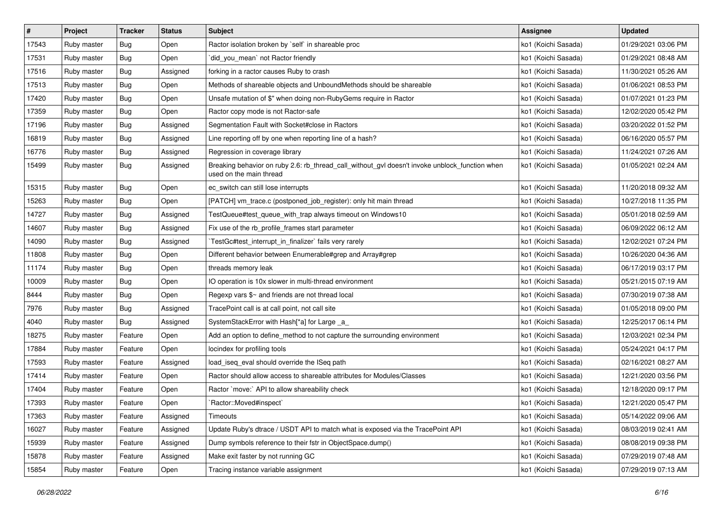| $\vert$ # | Project     | <b>Tracker</b> | <b>Status</b> | <b>Subject</b>                                                                                                            | <b>Assignee</b>     | <b>Updated</b>      |
|-----------|-------------|----------------|---------------|---------------------------------------------------------------------------------------------------------------------------|---------------------|---------------------|
| 17543     | Ruby master | <b>Bug</b>     | Open          | Ractor isolation broken by `self` in shareable proc                                                                       | ko1 (Koichi Sasada) | 01/29/2021 03:06 PM |
| 17531     | Ruby master | Bug            | Open          | did_you_mean` not Ractor friendly                                                                                         | ko1 (Koichi Sasada) | 01/29/2021 08:48 AM |
| 17516     | Ruby master | Bug            | Assigned      | forking in a ractor causes Ruby to crash                                                                                  | ko1 (Koichi Sasada) | 11/30/2021 05:26 AM |
| 17513     | Ruby master | Bug            | Open          | Methods of shareable objects and UnboundMethods should be shareable                                                       | ko1 (Koichi Sasada) | 01/06/2021 08:53 PM |
| 17420     | Ruby master | <b>Bug</b>     | Open          | Unsafe mutation of \$" when doing non-RubyGems require in Ractor                                                          | ko1 (Koichi Sasada) | 01/07/2021 01:23 PM |
| 17359     | Ruby master | Bug            | Open          | Ractor copy mode is not Ractor-safe                                                                                       | ko1 (Koichi Sasada) | 12/02/2020 05:42 PM |
| 17196     | Ruby master | Bug            | Assigned      | Segmentation Fault with Socket#close in Ractors                                                                           | ko1 (Koichi Sasada) | 03/20/2022 01:52 PM |
| 16819     | Ruby master | Bug            | Assigned      | Line reporting off by one when reporting line of a hash?                                                                  | ko1 (Koichi Sasada) | 06/16/2020 05:57 PM |
| 16776     | Ruby master | Bug            | Assigned      | Regression in coverage library                                                                                            | ko1 (Koichi Sasada) | 11/24/2021 07:26 AM |
| 15499     | Ruby master | Bug            | Assigned      | Breaking behavior on ruby 2.6: rb_thread_call_without_gvl doesn't invoke unblock_function when<br>used on the main thread | ko1 (Koichi Sasada) | 01/05/2021 02:24 AM |
| 15315     | Ruby master | Bug            | Open          | ec_switch can still lose interrupts                                                                                       | ko1 (Koichi Sasada) | 11/20/2018 09:32 AM |
| 15263     | Ruby master | <b>Bug</b>     | Open          | [PATCH] vm_trace.c (postponed_job_register): only hit main thread                                                         | ko1 (Koichi Sasada) | 10/27/2018 11:35 PM |
| 14727     | Ruby master | <b>Bug</b>     | Assigned      | TestQueue#test_queue_with_trap always timeout on Windows10                                                                | ko1 (Koichi Sasada) | 05/01/2018 02:59 AM |
| 14607     | Ruby master | Bug            | Assigned      | Fix use of the rb_profile_frames start parameter                                                                          | ko1 (Koichi Sasada) | 06/09/2022 06:12 AM |
| 14090     | Ruby master | Bug            | Assigned      | TestGc#test_interrupt_in_finalizer`fails very rarely                                                                      | ko1 (Koichi Sasada) | 12/02/2021 07:24 PM |
| 11808     | Ruby master | Bug            | Open          | Different behavior between Enumerable#grep and Array#grep                                                                 | ko1 (Koichi Sasada) | 10/26/2020 04:36 AM |
| 11174     | Ruby master | Bug            | Open          | threads memory leak                                                                                                       | ko1 (Koichi Sasada) | 06/17/2019 03:17 PM |
| 10009     | Ruby master | Bug            | Open          | IO operation is 10x slower in multi-thread environment                                                                    | ko1 (Koichi Sasada) | 05/21/2015 07:19 AM |
| 8444      | Ruby master | Bug            | Open          | Regexp vars \$~ and friends are not thread local                                                                          | ko1 (Koichi Sasada) | 07/30/2019 07:38 AM |
| 7976      | Ruby master | Bug            | Assigned      | TracePoint call is at call point, not call site                                                                           | ko1 (Koichi Sasada) | 01/05/2018 09:00 PM |
| 4040      | Ruby master | Bug            | Assigned      | SystemStackError with Hash[*a] for Large _a_                                                                              | ko1 (Koichi Sasada) | 12/25/2017 06:14 PM |
| 18275     | Ruby master | Feature        | Open          | Add an option to define_method to not capture the surrounding environment                                                 | ko1 (Koichi Sasada) | 12/03/2021 02:34 PM |
| 17884     | Ruby master | Feature        | Open          | locindex for profiling tools                                                                                              | ko1 (Koichi Sasada) | 05/24/2021 04:17 PM |
| 17593     | Ruby master | Feature        | Assigned      | load_iseq_eval should override the ISeq path                                                                              | ko1 (Koichi Sasada) | 02/16/2021 08:27 AM |
| 17414     | Ruby master | Feature        | Open          | Ractor should allow access to shareable attributes for Modules/Classes                                                    | ko1 (Koichi Sasada) | 12/21/2020 03:56 PM |
| 17404     | Ruby master | Feature        | Open          | Ractor `move:` API to allow shareability check                                                                            | ko1 (Koichi Sasada) | 12/18/2020 09:17 PM |
| 17393     | Ruby master | Feature        | Open          | 'Ractor::Moved#inspect'                                                                                                   | ko1 (Koichi Sasada) | 12/21/2020 05:47 PM |
| 17363     | Ruby master | Feature        | Assigned      | Timeouts                                                                                                                  | ko1 (Koichi Sasada) | 05/14/2022 09:06 AM |
| 16027     | Ruby master | Feature        | Assigned      | Update Ruby's dtrace / USDT API to match what is exposed via the TracePoint API                                           | ko1 (Koichi Sasada) | 08/03/2019 02:41 AM |
| 15939     | Ruby master | Feature        | Assigned      | Dump symbols reference to their fstr in ObjectSpace.dump()                                                                | ko1 (Koichi Sasada) | 08/08/2019 09:38 PM |
| 15878     | Ruby master | Feature        | Assigned      | Make exit faster by not running GC                                                                                        | ko1 (Koichi Sasada) | 07/29/2019 07:48 AM |
| 15854     | Ruby master | Feature        | Open          | Tracing instance variable assignment                                                                                      | ko1 (Koichi Sasada) | 07/29/2019 07:13 AM |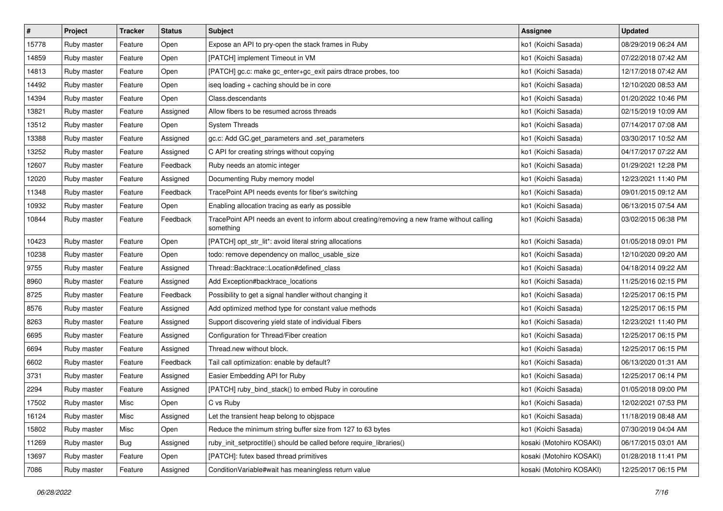| $\sharp$ | Project     | <b>Tracker</b> | <b>Status</b> | <b>Subject</b>                                                                                           | <b>Assignee</b>          | <b>Updated</b>      |
|----------|-------------|----------------|---------------|----------------------------------------------------------------------------------------------------------|--------------------------|---------------------|
| 15778    | Ruby master | Feature        | Open          | Expose an API to pry-open the stack frames in Ruby                                                       | ko1 (Koichi Sasada)      | 08/29/2019 06:24 AM |
| 14859    | Ruby master | Feature        | Open          | [PATCH] implement Timeout in VM                                                                          | ko1 (Koichi Sasada)      | 07/22/2018 07:42 AM |
| 14813    | Ruby master | Feature        | Open          | [PATCH] gc.c: make gc_enter+gc_exit pairs dtrace probes, too                                             | ko1 (Koichi Sasada)      | 12/17/2018 07:42 AM |
| 14492    | Ruby master | Feature        | Open          | iseq loading + caching should be in core                                                                 | ko1 (Koichi Sasada)      | 12/10/2020 08:53 AM |
| 14394    | Ruby master | Feature        | Open          | Class.descendants                                                                                        | ko1 (Koichi Sasada)      | 01/20/2022 10:46 PM |
| 13821    | Ruby master | Feature        | Assigned      | Allow fibers to be resumed across threads                                                                | ko1 (Koichi Sasada)      | 02/15/2019 10:09 AM |
| 13512    | Ruby master | Feature        | Open          | <b>System Threads</b>                                                                                    | ko1 (Koichi Sasada)      | 07/14/2017 07:08 AM |
| 13388    | Ruby master | Feature        | Assigned      | gc.c: Add GC.get_parameters and .set_parameters                                                          | ko1 (Koichi Sasada)      | 03/30/2017 10:52 AM |
| 13252    | Ruby master | Feature        | Assigned      | C API for creating strings without copying                                                               | ko1 (Koichi Sasada)      | 04/17/2017 07:22 AM |
| 12607    | Ruby master | Feature        | Feedback      | Ruby needs an atomic integer                                                                             | ko1 (Koichi Sasada)      | 01/29/2021 12:28 PM |
| 12020    | Ruby master | Feature        | Assigned      | Documenting Ruby memory model                                                                            | ko1 (Koichi Sasada)      | 12/23/2021 11:40 PM |
| 11348    | Ruby master | Feature        | Feedback      | TracePoint API needs events for fiber's switching                                                        | ko1 (Koichi Sasada)      | 09/01/2015 09:12 AM |
| 10932    | Ruby master | Feature        | Open          | Enabling allocation tracing as early as possible                                                         | ko1 (Koichi Sasada)      | 06/13/2015 07:54 AM |
| 10844    | Ruby master | Feature        | Feedback      | TracePoint API needs an event to inform about creating/removing a new frame without calling<br>something | ko1 (Koichi Sasada)      | 03/02/2015 06:38 PM |
| 10423    | Ruby master | Feature        | Open          | [PATCH] opt_str_lit*: avoid literal string allocations                                                   | ko1 (Koichi Sasada)      | 01/05/2018 09:01 PM |
| 10238    | Ruby master | Feature        | Open          | todo: remove dependency on malloc_usable_size                                                            | ko1 (Koichi Sasada)      | 12/10/2020 09:20 AM |
| 9755     | Ruby master | Feature        | Assigned      | Thread::Backtrace::Location#defined_class                                                                | ko1 (Koichi Sasada)      | 04/18/2014 09:22 AM |
| 8960     | Ruby master | Feature        | Assigned      | Add Exception#backtrace_locations                                                                        | ko1 (Koichi Sasada)      | 11/25/2016 02:15 PM |
| 8725     | Ruby master | Feature        | Feedback      | Possibility to get a signal handler without changing it                                                  | ko1 (Koichi Sasada)      | 12/25/2017 06:15 PM |
| 8576     | Ruby master | Feature        | Assigned      | Add optimized method type for constant value methods                                                     | ko1 (Koichi Sasada)      | 12/25/2017 06:15 PM |
| 8263     | Ruby master | Feature        | Assigned      | Support discovering yield state of individual Fibers                                                     | ko1 (Koichi Sasada)      | 12/23/2021 11:40 PM |
| 6695     | Ruby master | Feature        | Assigned      | Configuration for Thread/Fiber creation                                                                  | ko1 (Koichi Sasada)      | 12/25/2017 06:15 PM |
| 6694     | Ruby master | Feature        | Assigned      | Thread.new without block.                                                                                | ko1 (Koichi Sasada)      | 12/25/2017 06:15 PM |
| 6602     | Ruby master | Feature        | Feedback      | Tail call optimization: enable by default?                                                               | ko1 (Koichi Sasada)      | 06/13/2020 01:31 AM |
| 3731     | Ruby master | Feature        | Assigned      | Easier Embedding API for Ruby                                                                            | ko1 (Koichi Sasada)      | 12/25/2017 06:14 PM |
| 2294     | Ruby master | Feature        | Assigned      | [PATCH] ruby_bind_stack() to embed Ruby in coroutine                                                     | ko1 (Koichi Sasada)      | 01/05/2018 09:00 PM |
| 17502    | Ruby master | Misc           | Open          | C vs Ruby                                                                                                | ko1 (Koichi Sasada)      | 12/02/2021 07:53 PM |
| 16124    | Ruby master | Misc           | Assigned      | Let the transient heap belong to objspace                                                                | ko1 (Koichi Sasada)      | 11/18/2019 08:48 AM |
| 15802    | Ruby master | Misc           | Open          | Reduce the minimum string buffer size from 127 to 63 bytes                                               | ko1 (Koichi Sasada)      | 07/30/2019 04:04 AM |
| 11269    | Ruby master | <b>Bug</b>     | Assigned      | ruby_init_setproctitle() should be called before require_libraries()                                     | kosaki (Motohiro KOSAKI) | 06/17/2015 03:01 AM |
| 13697    | Ruby master | Feature        | Open          | [PATCH]: futex based thread primitives                                                                   | kosaki (Motohiro KOSAKI) | 01/28/2018 11:41 PM |
| 7086     | Ruby master | Feature        | Assigned      | ConditionVariable#wait has meaningless return value                                                      | kosaki (Motohiro KOSAKI) | 12/25/2017 06:15 PM |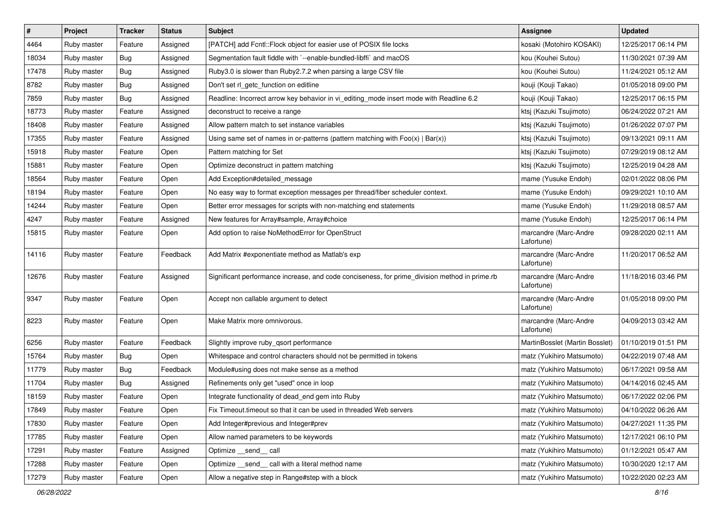| #     | Project     | <b>Tracker</b> | <b>Status</b> | Subject                                                                                       | <b>Assignee</b>                     | <b>Updated</b>      |
|-------|-------------|----------------|---------------|-----------------------------------------------------------------------------------------------|-------------------------------------|---------------------|
| 4464  | Ruby master | Feature        | Assigned      | [PATCH] add Fcntl::Flock object for easier use of POSIX file locks                            | kosaki (Motohiro KOSAKI)            | 12/25/2017 06:14 PM |
| 18034 | Ruby master | Bug            | Assigned      | Segmentation fault fiddle with `--enable-bundled-libffi` and macOS                            | kou (Kouhei Sutou)                  | 11/30/2021 07:39 AM |
| 17478 | Ruby master | Bug            | Assigned      | Ruby3.0 is slower than Ruby2.7.2 when parsing a large CSV file                                | kou (Kouhei Sutou)                  | 11/24/2021 05:12 AM |
| 8782  | Ruby master | Bug            | Assigned      | Don't set rl_getc_function on editline                                                        | kouji (Kouji Takao)                 | 01/05/2018 09:00 PM |
| 7859  | Ruby master | <b>Bug</b>     | Assigned      | Readline: Incorrect arrow key behavior in vi_editing_mode insert mode with Readline 6.2       | kouji (Kouji Takao)                 | 12/25/2017 06:15 PM |
| 18773 | Ruby master | Feature        | Assigned      | deconstruct to receive a range                                                                | ktsj (Kazuki Tsujimoto)             | 06/24/2022 07:21 AM |
| 18408 | Ruby master | Feature        | Assigned      | Allow pattern match to set instance variables                                                 | ktsj (Kazuki Tsujimoto)             | 01/26/2022 07:07 PM |
| 17355 | Ruby master | Feature        | Assigned      | Using same set of names in or-patterns (pattern matching with $Foo(x)   Bar(x)$ )             | ktsj (Kazuki Tsujimoto)             | 09/13/2021 09:11 AM |
| 15918 | Ruby master | Feature        | Open          | Pattern matching for Set                                                                      | ktsj (Kazuki Tsujimoto)             | 07/29/2019 08:12 AM |
| 15881 | Ruby master | Feature        | Open          | Optimize deconstruct in pattern matching                                                      | ktsj (Kazuki Tsujimoto)             | 12/25/2019 04:28 AM |
| 18564 | Ruby master | Feature        | Open          | Add Exception#detailed_message                                                                | mame (Yusuke Endoh)                 | 02/01/2022 08:06 PM |
| 18194 | Ruby master | Feature        | Open          | No easy way to format exception messages per thread/fiber scheduler context.                  | mame (Yusuke Endoh)                 | 09/29/2021 10:10 AM |
| 14244 | Ruby master | Feature        | Open          | Better error messages for scripts with non-matching end statements                            | mame (Yusuke Endoh)                 | 11/29/2018 08:57 AM |
| 4247  | Ruby master | Feature        | Assigned      | New features for Array#sample, Array#choice                                                   | mame (Yusuke Endoh)                 | 12/25/2017 06:14 PM |
| 15815 | Ruby master | Feature        | Open          | Add option to raise NoMethodError for OpenStruct                                              | marcandre (Marc-Andre<br>Lafortune) | 09/28/2020 02:11 AM |
| 14116 | Ruby master | Feature        | Feedback      | Add Matrix #exponentiate method as Matlab's exp                                               | marcandre (Marc-Andre<br>Lafortune) | 11/20/2017 06:52 AM |
| 12676 | Ruby master | Feature        | Assigned      | Significant performance increase, and code conciseness, for prime_division method in prime.rb | marcandre (Marc-Andre<br>Lafortune) | 11/18/2016 03:46 PM |
| 9347  | Ruby master | Feature        | Open          | Accept non callable argument to detect                                                        | marcandre (Marc-Andre<br>Lafortune) | 01/05/2018 09:00 PM |
| 8223  | Ruby master | Feature        | Open          | Make Matrix more omnivorous.                                                                  | marcandre (Marc-Andre<br>Lafortune) | 04/09/2013 03:42 AM |
| 6256  | Ruby master | Feature        | Feedback      | Slightly improve ruby_qsort performance                                                       | MartinBosslet (Martin Bosslet)      | 01/10/2019 01:51 PM |
| 15764 | Ruby master | Bug            | Open          | Whitespace and control characters should not be permitted in tokens                           | matz (Yukihiro Matsumoto)           | 04/22/2019 07:48 AM |
| 11779 | Ruby master | Bug            | Feedback      | Module#using does not make sense as a method                                                  | matz (Yukihiro Matsumoto)           | 06/17/2021 09:58 AM |
| 11704 | Ruby master | <b>Bug</b>     | Assigned      | Refinements only get "used" once in loop                                                      | matz (Yukihiro Matsumoto)           | 04/14/2016 02:45 AM |
| 18159 | Ruby master | Feature        | Open          | Integrate functionality of dead_end gem into Ruby                                             | matz (Yukihiro Matsumoto)           | 06/17/2022 02:06 PM |
| 17849 | Ruby master | Feature        | Open          | Fix Timeout.timeout so that it can be used in threaded Web servers                            | matz (Yukihiro Matsumoto)           | 04/10/2022 06:26 AM |
| 17830 | Ruby master | Feature        | Open          | Add Integer#previous and Integer#prev                                                         | matz (Yukihiro Matsumoto)           | 04/27/2021 11:35 PM |
| 17785 | Ruby master | Feature        | Open          | Allow named parameters to be keywords                                                         | matz (Yukihiro Matsumoto)           | 12/17/2021 06:10 PM |
| 17291 | Ruby master | Feature        | Assigned      | Optimize __send__ call                                                                        | matz (Yukihiro Matsumoto)           | 01/12/2021 05:47 AM |
| 17288 | Ruby master | Feature        | Open          | Optimize _send_ call with a literal method name                                               | matz (Yukihiro Matsumoto)           | 10/30/2020 12:17 AM |
| 17279 | Ruby master | Feature        | Open          | Allow a negative step in Range#step with a block                                              | matz (Yukihiro Matsumoto)           | 10/22/2020 02:23 AM |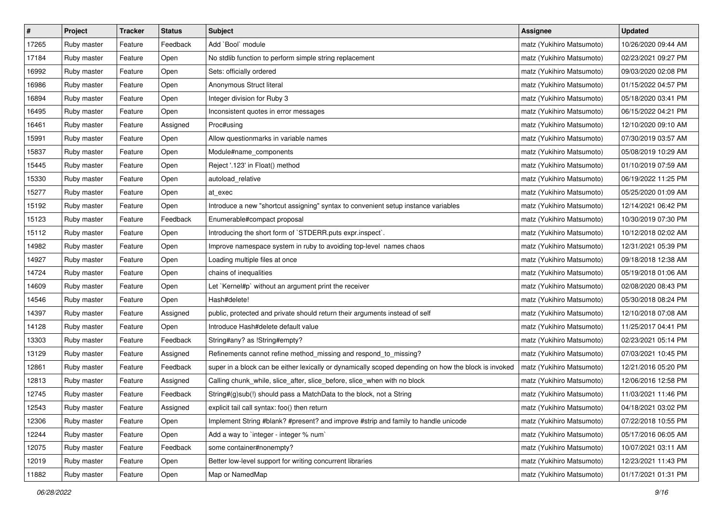| $\sharp$ | Project     | <b>Tracker</b> | <b>Status</b> | <b>Subject</b>                                                                                       | <b>Assignee</b>           | <b>Updated</b>      |
|----------|-------------|----------------|---------------|------------------------------------------------------------------------------------------------------|---------------------------|---------------------|
| 17265    | Ruby master | Feature        | Feedback      | Add `Bool` module                                                                                    | matz (Yukihiro Matsumoto) | 10/26/2020 09:44 AM |
| 17184    | Ruby master | Feature        | Open          | No stdlib function to perform simple string replacement                                              | matz (Yukihiro Matsumoto) | 02/23/2021 09:27 PM |
| 16992    | Ruby master | Feature        | Open          | Sets: officially ordered                                                                             | matz (Yukihiro Matsumoto) | 09/03/2020 02:08 PM |
| 16986    | Ruby master | Feature        | Open          | Anonymous Struct literal                                                                             | matz (Yukihiro Matsumoto) | 01/15/2022 04:57 PM |
| 16894    | Ruby master | Feature        | Open          | Integer division for Ruby 3                                                                          | matz (Yukihiro Matsumoto) | 05/18/2020 03:41 PM |
| 16495    | Ruby master | Feature        | Open          | Inconsistent quotes in error messages                                                                | matz (Yukihiro Matsumoto) | 06/15/2022 04:21 PM |
| 16461    | Ruby master | Feature        | Assigned      | Proc#using                                                                                           | matz (Yukihiro Matsumoto) | 12/10/2020 09:10 AM |
| 15991    | Ruby master | Feature        | Open          | Allow questionmarks in variable names                                                                | matz (Yukihiro Matsumoto) | 07/30/2019 03:57 AM |
| 15837    | Ruby master | Feature        | Open          | Module#name_components                                                                               | matz (Yukihiro Matsumoto) | 05/08/2019 10:29 AM |
| 15445    | Ruby master | Feature        | Open          | Reject '.123' in Float() method                                                                      | matz (Yukihiro Matsumoto) | 01/10/2019 07:59 AM |
| 15330    | Ruby master | Feature        | Open          | autoload_relative                                                                                    | matz (Yukihiro Matsumoto) | 06/19/2022 11:25 PM |
| 15277    | Ruby master | Feature        | Open          | at_exec                                                                                              | matz (Yukihiro Matsumoto) | 05/25/2020 01:09 AM |
| 15192    | Ruby master | Feature        | Open          | Introduce a new "shortcut assigning" syntax to convenient setup instance variables                   | matz (Yukihiro Matsumoto) | 12/14/2021 06:42 PM |
| 15123    | Ruby master | Feature        | Feedback      | Enumerable#compact proposal                                                                          | matz (Yukihiro Matsumoto) | 10/30/2019 07:30 PM |
| 15112    | Ruby master | Feature        | Open          | Introducing the short form of `STDERR.puts expr.inspect`.                                            | matz (Yukihiro Matsumoto) | 10/12/2018 02:02 AM |
| 14982    | Ruby master | Feature        | Open          | Improve namespace system in ruby to avoiding top-level names chaos                                   | matz (Yukihiro Matsumoto) | 12/31/2021 05:39 PM |
| 14927    | Ruby master | Feature        | Open          | Loading multiple files at once                                                                       | matz (Yukihiro Matsumoto) | 09/18/2018 12:38 AM |
| 14724    | Ruby master | Feature        | Open          | chains of inequalities                                                                               | matz (Yukihiro Matsumoto) | 05/19/2018 01:06 AM |
| 14609    | Ruby master | Feature        | Open          | Let `Kernel#p` without an argument print the receiver                                                | matz (Yukihiro Matsumoto) | 02/08/2020 08:43 PM |
| 14546    | Ruby master | Feature        | Open          | Hash#delete!                                                                                         | matz (Yukihiro Matsumoto) | 05/30/2018 08:24 PM |
| 14397    | Ruby master | Feature        | Assigned      | public, protected and private should return their arguments instead of self                          | matz (Yukihiro Matsumoto) | 12/10/2018 07:08 AM |
| 14128    | Ruby master | Feature        | Open          | Introduce Hash#delete default value                                                                  | matz (Yukihiro Matsumoto) | 11/25/2017 04:41 PM |
| 13303    | Ruby master | Feature        | Feedback      | String#any? as !String#empty?                                                                        | matz (Yukihiro Matsumoto) | 02/23/2021 05:14 PM |
| 13129    | Ruby master | Feature        | Assigned      | Refinements cannot refine method_missing and respond_to_missing?                                     | matz (Yukihiro Matsumoto) | 07/03/2021 10:45 PM |
| 12861    | Ruby master | Feature        | Feedback      | super in a block can be either lexically or dynamically scoped depending on how the block is invoked | matz (Yukihiro Matsumoto) | 12/21/2016 05:20 PM |
| 12813    | Ruby master | Feature        | Assigned      | Calling chunk_while, slice_after, slice_before, slice_when with no block                             | matz (Yukihiro Matsumoto) | 12/06/2016 12:58 PM |
| 12745    | Ruby master | Feature        | Feedback      | String#(g)sub(!) should pass a MatchData to the block, not a String                                  | matz (Yukihiro Matsumoto) | 11/03/2021 11:46 PM |
| 12543    | Ruby master | Feature        | Assigned      | explicit tail call syntax: foo() then return                                                         | matz (Yukihiro Matsumoto) | 04/18/2021 03:02 PM |
| 12306    | Ruby master | Feature        | Open          | Implement String #blank? #present? and improve #strip and family to handle unicode                   | matz (Yukihiro Matsumoto) | 07/22/2018 10:55 PM |
| 12244    | Ruby master | Feature        | Open          | Add a way to `integer - integer % num`                                                               | matz (Yukihiro Matsumoto) | 05/17/2016 06:05 AM |
| 12075    | Ruby master | Feature        | Feedback      | some container#nonempty?                                                                             | matz (Yukihiro Matsumoto) | 10/07/2021 03:11 AM |
| 12019    | Ruby master | Feature        | Open          | Better low-level support for writing concurrent libraries                                            | matz (Yukihiro Matsumoto) | 12/23/2021 11:43 PM |
| 11882    | Ruby master | Feature        | Open          | Map or NamedMap                                                                                      | matz (Yukihiro Matsumoto) | 01/17/2021 01:31 PM |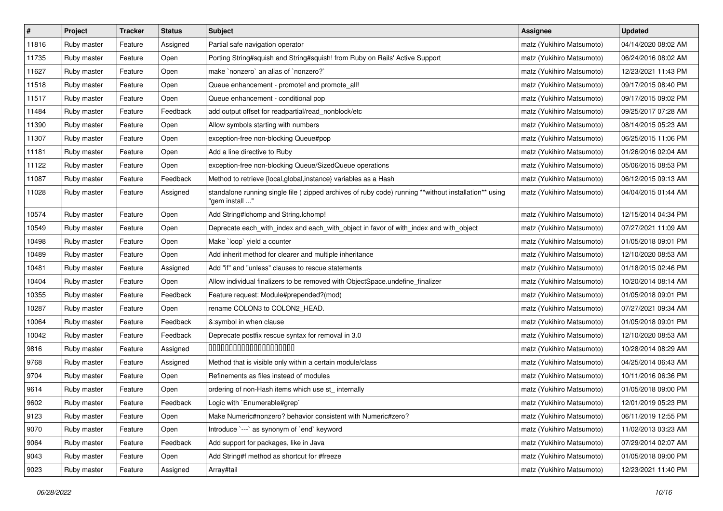| $\sharp$ | Project     | <b>Tracker</b> | <b>Status</b> | <b>Subject</b>                                                                                                         | <b>Assignee</b>           | <b>Updated</b>      |
|----------|-------------|----------------|---------------|------------------------------------------------------------------------------------------------------------------------|---------------------------|---------------------|
| 11816    | Ruby master | Feature        | Assigned      | Partial safe navigation operator                                                                                       | matz (Yukihiro Matsumoto) | 04/14/2020 08:02 AM |
| 11735    | Ruby master | Feature        | Open          | Porting String#squish and String#squish! from Ruby on Rails' Active Support                                            | matz (Yukihiro Matsumoto) | 06/24/2016 08:02 AM |
| 11627    | Ruby master | Feature        | Open          | make `nonzero` an alias of `nonzero?`                                                                                  | matz (Yukihiro Matsumoto) | 12/23/2021 11:43 PM |
| 11518    | Ruby master | Feature        | Open          | Queue enhancement - promote! and promote_all!                                                                          | matz (Yukihiro Matsumoto) | 09/17/2015 08:40 PM |
| 11517    | Ruby master | Feature        | Open          | Queue enhancement - conditional pop                                                                                    | matz (Yukihiro Matsumoto) | 09/17/2015 09:02 PM |
| 11484    | Ruby master | Feature        | Feedback      | add output offset for readpartial/read_nonblock/etc                                                                    | matz (Yukihiro Matsumoto) | 09/25/2017 07:28 AM |
| 11390    | Ruby master | Feature        | Open          | Allow symbols starting with numbers                                                                                    | matz (Yukihiro Matsumoto) | 08/14/2015 05:23 AM |
| 11307    | Ruby master | Feature        | Open          | exception-free non-blocking Queue#pop                                                                                  | matz (Yukihiro Matsumoto) | 06/25/2015 11:06 PM |
| 11181    | Ruby master | Feature        | Open          | Add a line directive to Ruby                                                                                           | matz (Yukihiro Matsumoto) | 01/26/2016 02:04 AM |
| 11122    | Ruby master | Feature        | Open          | exception-free non-blocking Queue/SizedQueue operations                                                                | matz (Yukihiro Matsumoto) | 05/06/2015 08:53 PM |
| 11087    | Ruby master | Feature        | Feedback      | Method to retrieve {local, global, instance} variables as a Hash                                                       | matz (Yukihiro Matsumoto) | 06/12/2015 09:13 AM |
| 11028    | Ruby master | Feature        | Assigned      | standalone running single file (zipped archives of ruby code) running **without installation** using<br>"gem install " | matz (Yukihiro Matsumoto) | 04/04/2015 01:44 AM |
| 10574    | Ruby master | Feature        | Open          | Add String#Ichomp and String.Ichomp!                                                                                   | matz (Yukihiro Matsumoto) | 12/15/2014 04:34 PM |
| 10549    | Ruby master | Feature        | Open          | Deprecate each_with_index and each_with_object in favor of with_index and with_object                                  | matz (Yukihiro Matsumoto) | 07/27/2021 11:09 AM |
| 10498    | Ruby master | Feature        | Open          | Make `loop` yield a counter                                                                                            | matz (Yukihiro Matsumoto) | 01/05/2018 09:01 PM |
| 10489    | Ruby master | Feature        | Open          | Add inherit method for clearer and multiple inheritance                                                                | matz (Yukihiro Matsumoto) | 12/10/2020 08:53 AM |
| 10481    | Ruby master | Feature        | Assigned      | Add "if" and "unless" clauses to rescue statements                                                                     | matz (Yukihiro Matsumoto) | 01/18/2015 02:46 PM |
| 10404    | Ruby master | Feature        | Open          | Allow individual finalizers to be removed with ObjectSpace.undefine_finalizer                                          | matz (Yukihiro Matsumoto) | 10/20/2014 08:14 AM |
| 10355    | Ruby master | Feature        | Feedback      | Feature request: Module#prepended?(mod)                                                                                | matz (Yukihiro Matsumoto) | 01/05/2018 09:01 PM |
| 10287    | Ruby master | Feature        | Open          | rename COLON3 to COLON2_HEAD.                                                                                          | matz (Yukihiro Matsumoto) | 07/27/2021 09:34 AM |
| 10064    | Ruby master | Feature        | Feedback      | &:symbol in when clause                                                                                                | matz (Yukihiro Matsumoto) | 01/05/2018 09:01 PM |
| 10042    | Ruby master | Feature        | Feedback      | Deprecate postfix rescue syntax for removal in 3.0                                                                     | matz (Yukihiro Matsumoto) | 12/10/2020 08:53 AM |
| 9816     | Ruby master | Feature        | Assigned      | 00000000000000000000                                                                                                   | matz (Yukihiro Matsumoto) | 10/28/2014 08:29 AM |
| 9768     | Ruby master | Feature        | Assigned      | Method that is visible only within a certain module/class                                                              | matz (Yukihiro Matsumoto) | 04/25/2014 06:43 AM |
| 9704     | Ruby master | Feature        | Open          | Refinements as files instead of modules                                                                                | matz (Yukihiro Matsumoto) | 10/11/2016 06:36 PM |
| 9614     | Ruby master | Feature        | Open          | ordering of non-Hash items which use st_internally                                                                     | matz (Yukihiro Matsumoto) | 01/05/2018 09:00 PM |
| 9602     | Ruby master | Feature        | Feedback      | Logic with `Enumerable#grep`                                                                                           | matz (Yukihiro Matsumoto) | 12/01/2019 05:23 PM |
| 9123     | Ruby master | Feature        | Open          | Make Numeric#nonzero? behavior consistent with Numeric#zero?                                                           | matz (Yukihiro Matsumoto) | 06/11/2019 12:55 PM |
| 9070     | Ruby master | Feature        | Open          | Introduce `---` as synonym of `end` keyword                                                                            | matz (Yukihiro Matsumoto) | 11/02/2013 03:23 AM |
| 9064     | Ruby master | Feature        | Feedback      | Add support for packages, like in Java                                                                                 | matz (Yukihiro Matsumoto) | 07/29/2014 02:07 AM |
| 9043     | Ruby master | Feature        | Open          | Add String#f method as shortcut for #freeze                                                                            | matz (Yukihiro Matsumoto) | 01/05/2018 09:00 PM |
| 9023     | Ruby master | Feature        | Assigned      | Array#tail                                                                                                             | matz (Yukihiro Matsumoto) | 12/23/2021 11:40 PM |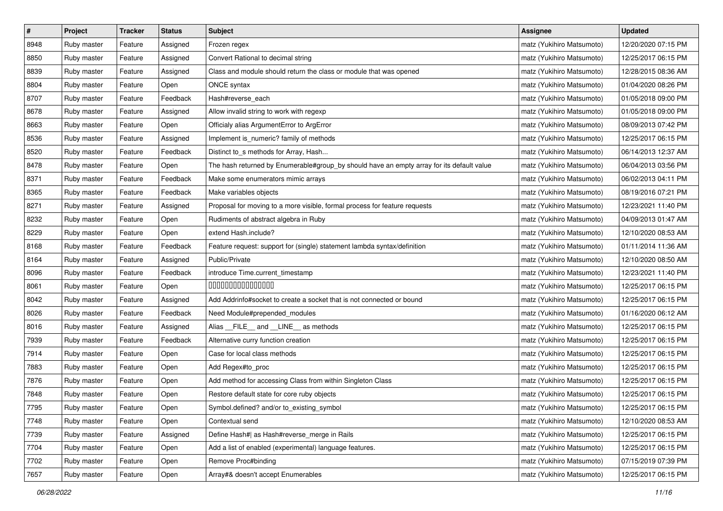| $\pmb{\#}$ | Project     | <b>Tracker</b> | <b>Status</b> | Subject                                                                                   | <b>Assignee</b>           | <b>Updated</b>      |
|------------|-------------|----------------|---------------|-------------------------------------------------------------------------------------------|---------------------------|---------------------|
| 8948       | Ruby master | Feature        | Assigned      | Frozen regex                                                                              | matz (Yukihiro Matsumoto) | 12/20/2020 07:15 PM |
| 8850       | Ruby master | Feature        | Assigned      | Convert Rational to decimal string                                                        | matz (Yukihiro Matsumoto) | 12/25/2017 06:15 PM |
| 8839       | Ruby master | Feature        | Assigned      | Class and module should return the class or module that was opened                        | matz (Yukihiro Matsumoto) | 12/28/2015 08:36 AM |
| 8804       | Ruby master | Feature        | Open          | ONCE syntax                                                                               | matz (Yukihiro Matsumoto) | 01/04/2020 08:26 PM |
| 8707       | Ruby master | Feature        | Feedback      | Hash#reverse_each                                                                         | matz (Yukihiro Matsumoto) | 01/05/2018 09:00 PM |
| 8678       | Ruby master | Feature        | Assigned      | Allow invalid string to work with regexp                                                  | matz (Yukihiro Matsumoto) | 01/05/2018 09:00 PM |
| 8663       | Ruby master | Feature        | Open          | Officialy alias ArgumentError to ArgError                                                 | matz (Yukihiro Matsumoto) | 08/09/2013 07:42 PM |
| 8536       | Ruby master | Feature        | Assigned      | Implement is_numeric? family of methods                                                   | matz (Yukihiro Matsumoto) | 12/25/2017 06:15 PM |
| 8520       | Ruby master | Feature        | Feedback      | Distinct to_s methods for Array, Hash                                                     | matz (Yukihiro Matsumoto) | 06/14/2013 12:37 AM |
| 8478       | Ruby master | Feature        | Open          | The hash returned by Enumerable#group_by should have an empty array for its default value | matz (Yukihiro Matsumoto) | 06/04/2013 03:56 PM |
| 8371       | Ruby master | Feature        | Feedback      | Make some enumerators mimic arrays                                                        | matz (Yukihiro Matsumoto) | 06/02/2013 04:11 PM |
| 8365       | Ruby master | Feature        | Feedback      | Make variables objects                                                                    | matz (Yukihiro Matsumoto) | 08/19/2016 07:21 PM |
| 8271       | Ruby master | Feature        | Assigned      | Proposal for moving to a more visible, formal process for feature requests                | matz (Yukihiro Matsumoto) | 12/23/2021 11:40 PM |
| 8232       | Ruby master | Feature        | Open          | Rudiments of abstract algebra in Ruby                                                     | matz (Yukihiro Matsumoto) | 04/09/2013 01:47 AM |
| 8229       | Ruby master | Feature        | Open          | extend Hash.include?                                                                      | matz (Yukihiro Matsumoto) | 12/10/2020 08:53 AM |
| 8168       | Ruby master | Feature        | Feedback      | Feature request: support for (single) statement lambda syntax/definition                  | matz (Yukihiro Matsumoto) | 01/11/2014 11:36 AM |
| 8164       | Ruby master | Feature        | Assigned      | Public/Private                                                                            | matz (Yukihiro Matsumoto) | 12/10/2020 08:50 AM |
| 8096       | Ruby master | Feature        | Feedback      | introduce Time.current_timestamp                                                          | matz (Yukihiro Matsumoto) | 12/23/2021 11:40 PM |
| 8061       | Ruby master | Feature        | Open          | 000000000000000                                                                           | matz (Yukihiro Matsumoto) | 12/25/2017 06:15 PM |
| 8042       | Ruby master | Feature        | Assigned      | Add Addrinfo#socket to create a socket that is not connected or bound                     | matz (Yukihiro Matsumoto) | 12/25/2017 06:15 PM |
| 8026       | Ruby master | Feature        | Feedback      | Need Module#prepended_modules                                                             | matz (Yukihiro Matsumoto) | 01/16/2020 06:12 AM |
| 8016       | Ruby master | Feature        | Assigned      | Alias FILE and LINE as methods                                                            | matz (Yukihiro Matsumoto) | 12/25/2017 06:15 PM |
| 7939       | Ruby master | Feature        | Feedback      | Alternative curry function creation                                                       | matz (Yukihiro Matsumoto) | 12/25/2017 06:15 PM |
| 7914       | Ruby master | Feature        | Open          | Case for local class methods                                                              | matz (Yukihiro Matsumoto) | 12/25/2017 06:15 PM |
| 7883       | Ruby master | Feature        | Open          | Add Regex#to_proc                                                                         | matz (Yukihiro Matsumoto) | 12/25/2017 06:15 PM |
| 7876       | Ruby master | Feature        | Open          | Add method for accessing Class from within Singleton Class                                | matz (Yukihiro Matsumoto) | 12/25/2017 06:15 PM |
| 7848       | Ruby master | Feature        | Open          | Restore default state for core ruby objects                                               | matz (Yukihiro Matsumoto) | 12/25/2017 06:15 PM |
| 7795       | Ruby master | Feature        | Open          | Symbol.defined? and/or to_existing_symbol                                                 | matz (Yukihiro Matsumoto) | 12/25/2017 06:15 PM |
| 7748       | Ruby master | Feature        | Open          | Contextual send                                                                           | matz (Yukihiro Matsumoto) | 12/10/2020 08:53 AM |
| 7739       | Ruby master | Feature        | Assigned      | Define Hash#  as Hash#reverse_merge in Rails                                              | matz (Yukihiro Matsumoto) | 12/25/2017 06:15 PM |
| 7704       | Ruby master | Feature        | Open          | Add a list of enabled (experimental) language features.                                   | matz (Yukihiro Matsumoto) | 12/25/2017 06:15 PM |
| 7702       | Ruby master | Feature        | Open          | Remove Proc#binding                                                                       | matz (Yukihiro Matsumoto) | 07/15/2019 07:39 PM |
| 7657       | Ruby master | Feature        | Open          | Array#& doesn't accept Enumerables                                                        | matz (Yukihiro Matsumoto) | 12/25/2017 06:15 PM |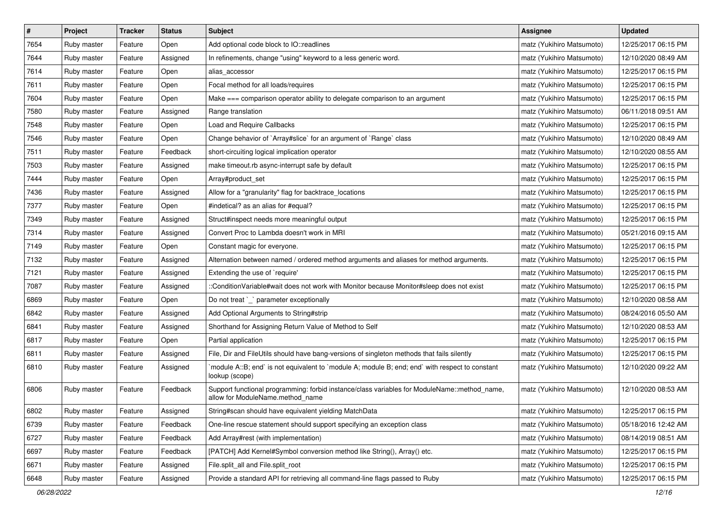| $\#$ | Project     | Tracker | <b>Status</b> | Subject                                                                                                                          | Assignee                  | <b>Updated</b>      |
|------|-------------|---------|---------------|----------------------------------------------------------------------------------------------------------------------------------|---------------------------|---------------------|
| 7654 | Ruby master | Feature | Open          | Add optional code block to IO::readlines                                                                                         | matz (Yukihiro Matsumoto) | 12/25/2017 06:15 PM |
| 7644 | Ruby master | Feature | Assigned      | In refinements, change "using" keyword to a less generic word.                                                                   | matz (Yukihiro Matsumoto) | 12/10/2020 08:49 AM |
| 7614 | Ruby master | Feature | Open          | alias accessor                                                                                                                   | matz (Yukihiro Matsumoto) | 12/25/2017 06:15 PM |
| 7611 | Ruby master | Feature | Open          | Focal method for all loads/requires                                                                                              | matz (Yukihiro Matsumoto) | 12/25/2017 06:15 PM |
| 7604 | Ruby master | Feature | Open          | Make === comparison operator ability to delegate comparison to an argument                                                       | matz (Yukihiro Matsumoto) | 12/25/2017 06:15 PM |
| 7580 | Ruby master | Feature | Assigned      | Range translation                                                                                                                | matz (Yukihiro Matsumoto) | 06/11/2018 09:51 AM |
| 7548 | Ruby master | Feature | Open          | Load and Require Callbacks                                                                                                       | matz (Yukihiro Matsumoto) | 12/25/2017 06:15 PM |
| 7546 | Ruby master | Feature | Open          | Change behavior of `Array#slice` for an argument of `Range` class                                                                | matz (Yukihiro Matsumoto) | 12/10/2020 08:49 AM |
| 7511 | Ruby master | Feature | Feedback      | short-circuiting logical implication operator                                                                                    | matz (Yukihiro Matsumoto) | 12/10/2020 08:55 AM |
| 7503 | Ruby master | Feature | Assigned      | make timeout.rb async-interrupt safe by default                                                                                  | matz (Yukihiro Matsumoto) | 12/25/2017 06:15 PM |
| 7444 | Ruby master | Feature | Open          | Array#product_set                                                                                                                | matz (Yukihiro Matsumoto) | 12/25/2017 06:15 PM |
| 7436 | Ruby master | Feature | Assigned      | Allow for a "granularity" flag for backtrace_locations                                                                           | matz (Yukihiro Matsumoto) | 12/25/2017 06:15 PM |
| 7377 | Ruby master | Feature | Open          | #indetical? as an alias for #equal?                                                                                              | matz (Yukihiro Matsumoto) | 12/25/2017 06:15 PM |
| 7349 | Ruby master | Feature | Assigned      | Struct#inspect needs more meaningful output                                                                                      | matz (Yukihiro Matsumoto) | 12/25/2017 06:15 PM |
| 7314 | Ruby master | Feature | Assigned      | Convert Proc to Lambda doesn't work in MRI                                                                                       | matz (Yukihiro Matsumoto) | 05/21/2016 09:15 AM |
| 7149 | Ruby master | Feature | Open          | Constant magic for everyone.                                                                                                     | matz (Yukihiro Matsumoto) | 12/25/2017 06:15 PM |
| 7132 | Ruby master | Feature | Assigned      | Alternation between named / ordered method arguments and aliases for method arguments.                                           | matz (Yukihiro Matsumoto) | 12/25/2017 06:15 PM |
| 7121 | Ruby master | Feature | Assigned      | Extending the use of `require'                                                                                                   | matz (Yukihiro Matsumoto) | 12/25/2017 06:15 PM |
| 7087 | Ruby master | Feature | Assigned      | :ConditionVariable#wait does not work with Monitor because Monitor#sleep does not exist                                          | matz (Yukihiro Matsumoto) | 12/25/2017 06:15 PM |
| 6869 | Ruby master | Feature | Open          | Do not treat `_` parameter exceptionally                                                                                         | matz (Yukihiro Matsumoto) | 12/10/2020 08:58 AM |
| 6842 | Ruby master | Feature | Assigned      | Add Optional Arguments to String#strip                                                                                           | matz (Yukihiro Matsumoto) | 08/24/2016 05:50 AM |
| 6841 | Ruby master | Feature | Assigned      | Shorthand for Assigning Return Value of Method to Self                                                                           | matz (Yukihiro Matsumoto) | 12/10/2020 08:53 AM |
| 6817 | Ruby master | Feature | Open          | Partial application                                                                                                              | matz (Yukihiro Matsumoto) | 12/25/2017 06:15 PM |
| 6811 | Ruby master | Feature | Assigned      | File, Dir and FileUtils should have bang-versions of singleton methods that fails silently                                       | matz (Yukihiro Matsumoto) | 12/25/2017 06:15 PM |
| 6810 | Ruby master | Feature | Assigned      | module A::B; end` is not equivalent to `module A; module B; end; end` with respect to constant<br>lookup (scope)                 | matz (Yukihiro Matsumoto) | 12/10/2020 09:22 AM |
| 6806 | Ruby master | Feature | Feedback      | Support functional programming: forbid instance/class variables for ModuleName::method_name,<br>allow for ModuleName.method name | matz (Yukihiro Matsumoto) | 12/10/2020 08:53 AM |
| 6802 | Ruby master | Feature | Assigned      | String#scan should have equivalent yielding MatchData                                                                            | matz (Yukihiro Matsumoto) | 12/25/2017 06:15 PM |
| 6739 | Ruby master | Feature | Feedback      | One-line rescue statement should support specifying an exception class                                                           | matz (Yukihiro Matsumoto) | 05/18/2016 12:42 AM |
| 6727 | Ruby master | Feature | Feedback      | Add Array#rest (with implementation)                                                                                             | matz (Yukihiro Matsumoto) | 08/14/2019 08:51 AM |
| 6697 | Ruby master | Feature | Feedback      | [PATCH] Add Kernel#Symbol conversion method like String(), Array() etc.                                                          | matz (Yukihiro Matsumoto) | 12/25/2017 06:15 PM |
| 6671 | Ruby master | Feature | Assigned      | File.split_all and File.split_root                                                                                               | matz (Yukihiro Matsumoto) | 12/25/2017 06:15 PM |
| 6648 | Ruby master | Feature | Assigned      | Provide a standard API for retrieving all command-line flags passed to Ruby                                                      | matz (Yukihiro Matsumoto) | 12/25/2017 06:15 PM |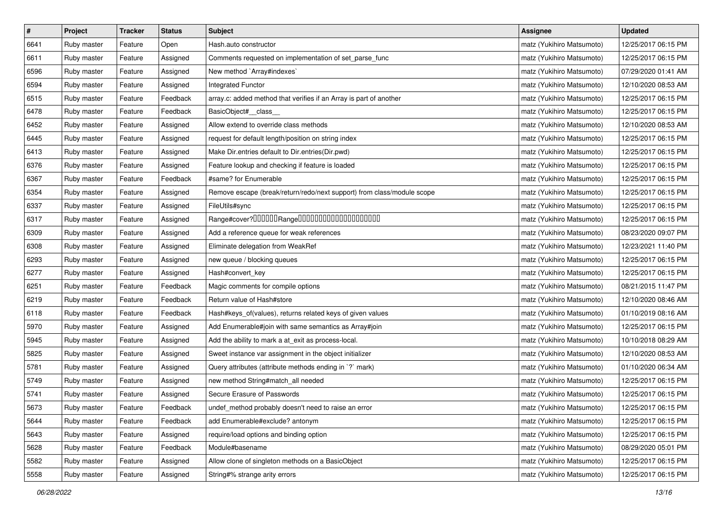| $\pmb{\#}$ | Project     | <b>Tracker</b> | <b>Status</b> | Subject                                                                | Assignee                  | <b>Updated</b>      |
|------------|-------------|----------------|---------------|------------------------------------------------------------------------|---------------------------|---------------------|
| 6641       | Ruby master | Feature        | Open          | Hash.auto constructor                                                  | matz (Yukihiro Matsumoto) | 12/25/2017 06:15 PM |
| 6611       | Ruby master | Feature        | Assigned      | Comments requested on implementation of set_parse_func                 | matz (Yukihiro Matsumoto) | 12/25/2017 06:15 PM |
| 6596       | Ruby master | Feature        | Assigned      | New method `Array#indexes`                                             | matz (Yukihiro Matsumoto) | 07/29/2020 01:41 AM |
| 6594       | Ruby master | Feature        | Assigned      | Integrated Functor                                                     | matz (Yukihiro Matsumoto) | 12/10/2020 08:53 AM |
| 6515       | Ruby master | Feature        | Feedback      | array.c: added method that verifies if an Array is part of another     | matz (Yukihiro Matsumoto) | 12/25/2017 06:15 PM |
| 6478       | Ruby master | Feature        | Feedback      | BasicObject#_class_                                                    | matz (Yukihiro Matsumoto) | 12/25/2017 06:15 PM |
| 6452       | Ruby master | Feature        | Assigned      | Allow extend to override class methods                                 | matz (Yukihiro Matsumoto) | 12/10/2020 08:53 AM |
| 6445       | Ruby master | Feature        | Assigned      | request for default length/position on string index                    | matz (Yukihiro Matsumoto) | 12/25/2017 06:15 PM |
| 6413       | Ruby master | Feature        | Assigned      | Make Dir.entries default to Dir.entries(Dir.pwd)                       | matz (Yukihiro Matsumoto) | 12/25/2017 06:15 PM |
| 6376       | Ruby master | Feature        | Assigned      | Feature lookup and checking if feature is loaded                       | matz (Yukihiro Matsumoto) | 12/25/2017 06:15 PM |
| 6367       | Ruby master | Feature        | Feedback      | #same? for Enumerable                                                  | matz (Yukihiro Matsumoto) | 12/25/2017 06:15 PM |
| 6354       | Ruby master | Feature        | Assigned      | Remove escape (break/return/redo/next support) from class/module scope | matz (Yukihiro Matsumoto) | 12/25/2017 06:15 PM |
| 6337       | Ruby master | Feature        | Assigned      | FileUtils#sync                                                         | matz (Yukihiro Matsumoto) | 12/25/2017 06:15 PM |
| 6317       | Ruby master | Feature        | Assigned      | Range#cover?000000Range00000000000000000000                            | matz (Yukihiro Matsumoto) | 12/25/2017 06:15 PM |
| 6309       | Ruby master | Feature        | Assigned      | Add a reference queue for weak references                              | matz (Yukihiro Matsumoto) | 08/23/2020 09:07 PM |
| 6308       | Ruby master | Feature        | Assigned      | Eliminate delegation from WeakRef                                      | matz (Yukihiro Matsumoto) | 12/23/2021 11:40 PM |
| 6293       | Ruby master | Feature        | Assigned      | new queue / blocking queues                                            | matz (Yukihiro Matsumoto) | 12/25/2017 06:15 PM |
| 6277       | Ruby master | Feature        | Assigned      | Hash#convert_key                                                       | matz (Yukihiro Matsumoto) | 12/25/2017 06:15 PM |
| 6251       | Ruby master | Feature        | Feedback      | Magic comments for compile options                                     | matz (Yukihiro Matsumoto) | 08/21/2015 11:47 PM |
| 6219       | Ruby master | Feature        | Feedback      | Return value of Hash#store                                             | matz (Yukihiro Matsumoto) | 12/10/2020 08:46 AM |
| 6118       | Ruby master | Feature        | Feedback      | Hash#keys_of(values), returns related keys of given values             | matz (Yukihiro Matsumoto) | 01/10/2019 08:16 AM |
| 5970       | Ruby master | Feature        | Assigned      | Add Enumerable#join with same semantics as Array#join                  | matz (Yukihiro Matsumoto) | 12/25/2017 06:15 PM |
| 5945       | Ruby master | Feature        | Assigned      | Add the ability to mark a at_exit as process-local.                    | matz (Yukihiro Matsumoto) | 10/10/2018 08:29 AM |
| 5825       | Ruby master | Feature        | Assigned      | Sweet instance var assignment in the object initializer                | matz (Yukihiro Matsumoto) | 12/10/2020 08:53 AM |
| 5781       | Ruby master | Feature        | Assigned      | Query attributes (attribute methods ending in `?` mark)                | matz (Yukihiro Matsumoto) | 01/10/2020 06:34 AM |
| 5749       | Ruby master | Feature        | Assigned      | new method String#match_all needed                                     | matz (Yukihiro Matsumoto) | 12/25/2017 06:15 PM |
| 5741       | Ruby master | Feature        | Assigned      | Secure Erasure of Passwords                                            | matz (Yukihiro Matsumoto) | 12/25/2017 06:15 PM |
| 5673       | Ruby master | Feature        | Feedback      | undef_method probably doesn't need to raise an error                   | matz (Yukihiro Matsumoto) | 12/25/2017 06:15 PM |
| 5644       | Ruby master | Feature        | Feedback      | add Enumerable#exclude? antonym                                        | matz (Yukihiro Matsumoto) | 12/25/2017 06:15 PM |
| 5643       | Ruby master | Feature        | Assigned      | require/load options and binding option                                | matz (Yukihiro Matsumoto) | 12/25/2017 06:15 PM |
| 5628       | Ruby master | Feature        | Feedback      | Module#basename                                                        | matz (Yukihiro Matsumoto) | 08/29/2020 05:01 PM |
| 5582       | Ruby master | Feature        | Assigned      | Allow clone of singleton methods on a BasicObject                      | matz (Yukihiro Matsumoto) | 12/25/2017 06:15 PM |
| 5558       | Ruby master | Feature        | Assigned      | String#% strange arity errors                                          | matz (Yukihiro Matsumoto) | 12/25/2017 06:15 PM |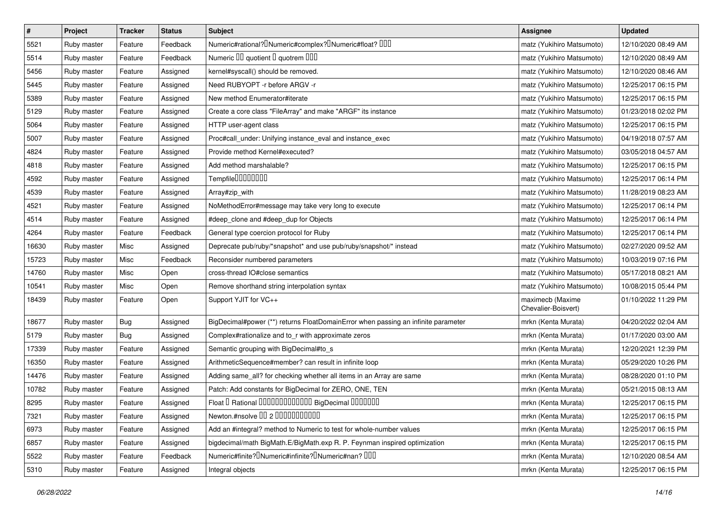| $\vert$ # | Project     | <b>Tracker</b> | <b>Status</b> | <b>Subject</b>                                                                                | Assignee                                | <b>Updated</b>      |
|-----------|-------------|----------------|---------------|-----------------------------------------------------------------------------------------------|-----------------------------------------|---------------------|
| 5521      | Ruby master | Feature        | Feedback      | Numeric#rational? <sup>[]</sup> Numeric#complex? <sup>[]</sup> Numeric#float? <sup>[10]</sup> | matz (Yukihiro Matsumoto)               | 12/10/2020 08:49 AM |
| 5514      | Ruby master | Feature        | Feedback      | Numeric III quotient I quotrem IIII                                                           | matz (Yukihiro Matsumoto)               | 12/10/2020 08:49 AM |
| 5456      | Ruby master | Feature        | Assigned      | kernel#syscall() should be removed.                                                           | matz (Yukihiro Matsumoto)               | 12/10/2020 08:46 AM |
| 5445      | Ruby master | Feature        | Assigned      | Need RUBYOPT -r before ARGV -r                                                                | matz (Yukihiro Matsumoto)               | 12/25/2017 06:15 PM |
| 5389      | Ruby master | Feature        | Assigned      | New method Enumerator#iterate                                                                 | matz (Yukihiro Matsumoto)               | 12/25/2017 06:15 PM |
| 5129      | Ruby master | Feature        | Assigned      | Create a core class "FileArray" and make "ARGF" its instance                                  | matz (Yukihiro Matsumoto)               | 01/23/2018 02:02 PM |
| 5064      | Ruby master | Feature        | Assigned      | HTTP user-agent class                                                                         | matz (Yukihiro Matsumoto)               | 12/25/2017 06:15 PM |
| 5007      | Ruby master | Feature        | Assigned      | Proc#call_under: Unifying instance_eval and instance_exec                                     | matz (Yukihiro Matsumoto)               | 04/19/2018 07:57 AM |
| 4824      | Ruby master | Feature        | Assigned      | Provide method Kernel#executed?                                                               | matz (Yukihiro Matsumoto)               | 03/05/2018 04:57 AM |
| 4818      | Ruby master | Feature        | Assigned      | Add method marshalable?                                                                       | matz (Yukihiro Matsumoto)               | 12/25/2017 06:15 PM |
| 4592      | Ruby master | Feature        | Assigned      | Tempfile0000000                                                                               | matz (Yukihiro Matsumoto)               | 12/25/2017 06:14 PM |
| 4539      | Ruby master | Feature        | Assigned      | Array#zip_with                                                                                | matz (Yukihiro Matsumoto)               | 11/28/2019 08:23 AM |
| 4521      | Ruby master | Feature        | Assigned      | NoMethodError#message may take very long to execute                                           | matz (Yukihiro Matsumoto)               | 12/25/2017 06:14 PM |
| 4514      | Ruby master | Feature        | Assigned      | #deep_clone and #deep_dup for Objects                                                         | matz (Yukihiro Matsumoto)               | 12/25/2017 06:14 PM |
| 4264      | Ruby master | Feature        | Feedback      | General type coercion protocol for Ruby                                                       | matz (Yukihiro Matsumoto)               | 12/25/2017 06:14 PM |
| 16630     | Ruby master | Misc           | Assigned      | Deprecate pub/ruby/*snapshot* and use pub/ruby/snapshot/* instead                             | matz (Yukihiro Matsumoto)               | 02/27/2020 09:52 AM |
| 15723     | Ruby master | Misc           | Feedback      | Reconsider numbered parameters                                                                | matz (Yukihiro Matsumoto)               | 10/03/2019 07:16 PM |
| 14760     | Ruby master | Misc           | Open          | cross-thread IO#close semantics                                                               | matz (Yukihiro Matsumoto)               | 05/17/2018 08:21 AM |
| 10541     | Ruby master | Misc           | Open          | Remove shorthand string interpolation syntax                                                  | matz (Yukihiro Matsumoto)               | 10/08/2015 05:44 PM |
| 18439     | Ruby master | Feature        | Open          | Support YJIT for VC++                                                                         | maximecb (Maxime<br>Chevalier-Boisvert) | 01/10/2022 11:29 PM |
| 18677     | Ruby master | Bug            | Assigned      | BigDecimal#power (**) returns FloatDomainError when passing an infinite parameter             | mrkn (Kenta Murata)                     | 04/20/2022 02:04 AM |
| 5179      | Ruby master | <b>Bug</b>     | Assigned      | Complex#rationalize and to_r with approximate zeros                                           | mrkn (Kenta Murata)                     | 01/17/2020 03:00 AM |
| 17339     | Ruby master | Feature        | Assigned      | Semantic grouping with BigDecimal#to_s                                                        | mrkn (Kenta Murata)                     | 12/20/2021 12:39 PM |
| 16350     | Ruby master | Feature        | Assigned      | ArithmeticSequence#member? can result in infinite loop                                        | mrkn (Kenta Murata)                     | 05/29/2020 10:26 PM |
| 14476     | Ruby master | Feature        | Assigned      | Adding same_all? for checking whether all items in an Array are same                          | mrkn (Kenta Murata)                     | 08/28/2020 01:10 PM |
| 10782     | Ruby master | Feature        | Assigned      | Patch: Add constants for BigDecimal for ZERO, ONE, TEN                                        | mrkn (Kenta Murata)                     | 05/21/2015 08:13 AM |
| 8295      | Ruby master | Feature        | Assigned      | Float I Rational 0000000000000 BigDecimal 0000000                                             | mrkn (Kenta Murata)                     | 12/25/2017 06:15 PM |
| 7321      | Ruby master | Feature        | Assigned      | Newton.#nsolve 00 2 0000000000                                                                | mrkn (Kenta Murata)                     | 12/25/2017 06:15 PM |
| 6973      | Ruby master | Feature        | Assigned      | Add an #integral? method to Numeric to test for whole-number values                           | mrkn (Kenta Murata)                     | 12/25/2017 06:15 PM |
| 6857      | Ruby master | Feature        | Assigned      | bigdecimal/math BigMath.E/BigMath.exp R. P. Feynman inspired optimization                     | mrkn (Kenta Murata)                     | 12/25/2017 06:15 PM |
| 5522      | Ruby master | Feature        | Feedback      | Numeric#finite? Numeric#infinite? INumeric#nan? IIII                                          | mrkn (Kenta Murata)                     | 12/10/2020 08:54 AM |
| 5310      | Ruby master | Feature        | Assigned      | Integral objects                                                                              | mrkn (Kenta Murata)                     | 12/25/2017 06:15 PM |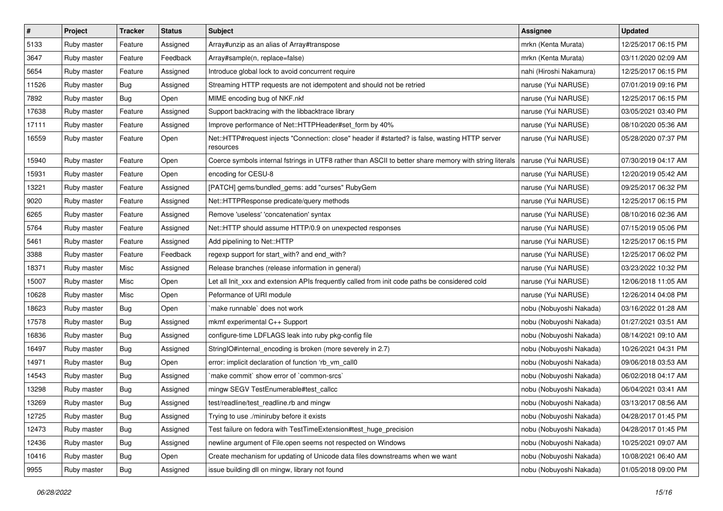| $\pmb{\#}$ | Project     | <b>Tracker</b> | <b>Status</b> | Subject                                                                                                      | <b>Assignee</b>         | <b>Updated</b>      |
|------------|-------------|----------------|---------------|--------------------------------------------------------------------------------------------------------------|-------------------------|---------------------|
| 5133       | Ruby master | Feature        | Assigned      | Array#unzip as an alias of Array#transpose                                                                   | mrkn (Kenta Murata)     | 12/25/2017 06:15 PM |
| 3647       | Ruby master | Feature        | Feedback      | Array#sample(n, replace=false)                                                                               | mrkn (Kenta Murata)     | 03/11/2020 02:09 AM |
| 5654       | Ruby master | Feature        | Assigned      | Introduce global lock to avoid concurrent require                                                            | nahi (Hiroshi Nakamura) | 12/25/2017 06:15 PM |
| 11526      | Ruby master | <b>Bug</b>     | Assigned      | Streaming HTTP requests are not idempotent and should not be retried                                         | naruse (Yui NARUSE)     | 07/01/2019 09:16 PM |
| 7892       | Ruby master | Bug            | Open          | MIME encoding bug of NKF.nkf                                                                                 | naruse (Yui NARUSE)     | 12/25/2017 06:15 PM |
| 17638      | Ruby master | Feature        | Assigned      | Support backtracing with the libbacktrace library                                                            | naruse (Yui NARUSE)     | 03/05/2021 03:40 PM |
| 17111      | Ruby master | Feature        | Assigned      | Improve performance of Net::HTTPHeader#set_form by 40%                                                       | naruse (Yui NARUSE)     | 08/10/2020 05:36 AM |
| 16559      | Ruby master | Feature        | Open          | Net::HTTP#request injects "Connection: close" header if #started? is false, wasting HTTP server<br>resources | naruse (Yui NARUSE)     | 05/28/2020 07:37 PM |
| 15940      | Ruby master | Feature        | Open          | Coerce symbols internal fstrings in UTF8 rather than ASCII to better share memory with string literals       | naruse (Yui NARUSE)     | 07/30/2019 04:17 AM |
| 15931      | Ruby master | Feature        | Open          | encoding for CESU-8                                                                                          | naruse (Yui NARUSE)     | 12/20/2019 05:42 AM |
| 13221      | Ruby master | Feature        | Assigned      | [PATCH] gems/bundled_gems: add "curses" RubyGem                                                              | naruse (Yui NARUSE)     | 09/25/2017 06:32 PM |
| 9020       | Ruby master | Feature        | Assigned      | Net::HTTPResponse predicate/query methods                                                                    | naruse (Yui NARUSE)     | 12/25/2017 06:15 PM |
| 6265       | Ruby master | Feature        | Assigned      | Remove 'useless' 'concatenation' syntax                                                                      | naruse (Yui NARUSE)     | 08/10/2016 02:36 AM |
| 5764       | Ruby master | Feature        | Assigned      | Net::HTTP should assume HTTP/0.9 on unexpected responses                                                     | naruse (Yui NARUSE)     | 07/15/2019 05:06 PM |
| 5461       | Ruby master | Feature        | Assigned      | Add pipelining to Net::HTTP                                                                                  | naruse (Yui NARUSE)     | 12/25/2017 06:15 PM |
| 3388       | Ruby master | Feature        | Feedback      | regexp support for start_with? and end_with?                                                                 | naruse (Yui NARUSE)     | 12/25/2017 06:02 PM |
| 18371      | Ruby master | Misc           | Assigned      | Release branches (release information in general)                                                            | naruse (Yui NARUSE)     | 03/23/2022 10:32 PM |
| 15007      | Ruby master | Misc           | Open          | Let all Init_xxx and extension APIs frequently called from init code paths be considered cold                | naruse (Yui NARUSE)     | 12/06/2018 11:05 AM |
| 10628      | Ruby master | Misc           | Open          | Peformance of URI module                                                                                     | naruse (Yui NARUSE)     | 12/26/2014 04:08 PM |
| 18623      | Ruby master | Bug            | Open          | make runnable' does not work                                                                                 | nobu (Nobuyoshi Nakada) | 03/16/2022 01:28 AM |
| 17578      | Ruby master | Bug            | Assigned      | mkmf experimental C++ Support                                                                                | nobu (Nobuyoshi Nakada) | 01/27/2021 03:51 AM |
| 16836      | Ruby master | <b>Bug</b>     | Assigned      | configure-time LDFLAGS leak into ruby pkg-config file                                                        | nobu (Nobuyoshi Nakada) | 08/14/2021 09:10 AM |
| 16497      | Ruby master | <b>Bug</b>     | Assigned      | StringIO#internal_encoding is broken (more severely in 2.7)                                                  | nobu (Nobuyoshi Nakada) | 10/26/2021 04:31 PM |
| 14971      | Ruby master | Bug            | Open          | error: implicit declaration of function 'rb_vm_call0                                                         | nobu (Nobuyoshi Nakada) | 09/06/2018 03:53 AM |
| 14543      | Ruby master | Bug            | Assigned      | 'make commit' show error of 'common-srcs'                                                                    | nobu (Nobuyoshi Nakada) | 06/02/2018 04:17 AM |
| 13298      | Ruby master | <b>Bug</b>     | Assigned      | mingw SEGV TestEnumerable#test callcc                                                                        | nobu (Nobuyoshi Nakada) | 06/04/2021 03:41 AM |
| 13269      | Ruby master | <b>Bug</b>     | Assigned      | test/readline/test_readline.rb and mingw                                                                     | nobu (Nobuyoshi Nakada) | 03/13/2017 08:56 AM |
| 12725      | Ruby master | Bug            | Assigned      | Trying to use ./miniruby before it exists                                                                    | nobu (Nobuyoshi Nakada) | 04/28/2017 01:45 PM |
| 12473      | Ruby master | <b>Bug</b>     | Assigned      | Test failure on fedora with TestTimeExtension#test_huge_precision                                            | nobu (Nobuyoshi Nakada) | 04/28/2017 01:45 PM |
| 12436      | Ruby master | <b>Bug</b>     | Assigned      | newline argument of File.open seems not respected on Windows                                                 | nobu (Nobuyoshi Nakada) | 10/25/2021 09:07 AM |
| 10416      | Ruby master | <b>Bug</b>     | Open          | Create mechanism for updating of Unicode data files downstreams when we want                                 | nobu (Nobuyoshi Nakada) | 10/08/2021 06:40 AM |
| 9955       | Ruby master | Bug            | Assigned      | issue building dll on mingw, library not found                                                               | nobu (Nobuyoshi Nakada) | 01/05/2018 09:00 PM |